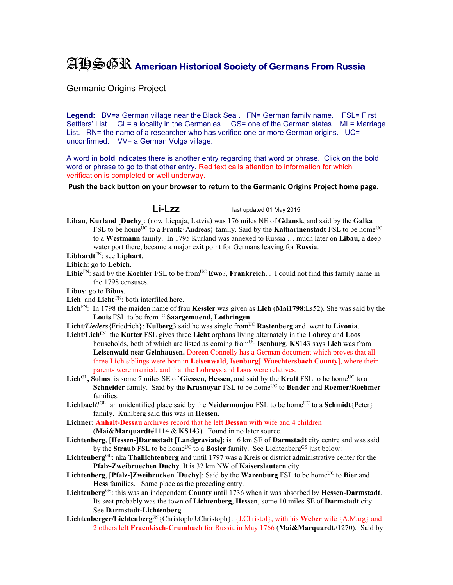## AHSGR **American Historical Society of Germans From Russia**

Germanic Origins Project

Legend: BV=a German village near the Black Sea . FN= German family name. FSL= First Settlers' List. GL= a locality in the Germanies. GS= one of the German states. ML= Marriage List. RN= the name of a researcher who has verified one or more German origins. UC= unconfirmed. VV= a German Volga village.

A word in **bold** indicates there is another entry regarding that word or phrase. Click on the bold word or phrase to go to that other entry. Red text calls attention to information for which verification is completed or well underway.

**Push the back button on your browser to return to the Germanic Origins Project home page**.

**Li-Lzz** last updated 01 May 2015

**Libau**, **Kurland** [**Duchy**]: (now Liepaja, Latvia) was 176 miles NE of **Gdansk**, and said by the **Galka** FSL to be home<sup>UC</sup> to a **Frank**{Andreas} family. Said by the **Katharinenstadt** FSL to be home<sup>UC</sup> to a **Westmann** family. In 1795 Kurland was annexed to Russia … much later on **Libau**, a deepwater port there, became a major exit point for Germans leaving for **Russia**.

**Libhardt**FN: see **Liphart**.

**Libich**: go to **Lebich**.

Libie<sup>FN:</sup> said by the **Koehler** FSL to be from<sup>UC</sup> **Ewo**?, **Frankreich**. . I could not find this family name in the 1798 censuses.

**Libus**: go to **Bibus**.

- Lich and Licht<sup>FN</sup>: both interfiled here.
- **Lich**FN: In 1798 the maiden name of frau **Kessler** was given as **Lich** (**Mai1798**:Ls52). She was said by the Louis FSL to be from<sup>UC</sup> Saargemuend, Lothringen.
- **Licht/Lieders** {Friedrich}: **Kulberg**3 said he was single from<sup>UC</sup> **Rastenberg** and went to **Livonia**.
- **Licht/Lich**FN: the **Kutter** FSL gives three **Licht** orphans living alternately in the **Lohrey** and **Loos** households, both of which are listed as coming fromUC **Isenburg**. **KS**143 says **Lich** was from **Leisenwald** near **Gelnhausen.** Doreen Connelly has a German document which proves that all three **Lich** siblings were born in **Leisenwald**, **Isenburg**[-**Waechtersbach County**], where their parents were married, and that the **Lohrey**s and **Loos** were relatives.
- Lich<sup>GL</sup>, Solms: is some 7 miles SE of Giessen, Hessen, and said by the Kraft FSL to be home<sup>UC</sup> to a **Schneider** family. Said by the **Krasnoyar** FSL to be home<sup>UC</sup> to **Bender** and **Roemer/Roehmer** families.
- **Lichbach**?<sup>GL</sup>: an unidentified place said by the **Neidermonjou** FSL to be home<sup>UC</sup> to a **Schmidt**{Peter} family. Kuhlberg said this was in **Hessen**.
- **Lichner**: **Anhalt-Dessau** archives record that he left **Dessau** with wife and 4 children (**Mai&Marquardt**#1114 & **KS**143). Found in no later source.
- **Lichtenberg**, [**Hessen**-]**Darmstadt** [**Landgraviate**]: is 16 km SE of **Darmstadt** city centre and was said by the **Straub** FSL to be home<sup>UC</sup> to a **Bosler** family. See Lichtenberg<sup>GS</sup> just below:
- **Lichtenberg**GL: nka **Thallichtenberg** and until 1797 was a Kreis or district administrative center for the **Pfalz-Zweibruechen Duchy**. It is 32 km NW of **Kaiserslautern** city.
- Lichtenberg, [Pfalz-]Zweibrucken [Duchy]: Said by the Warenburg FSL to be home<sup>UC</sup> to Bier and **Hess** families. Same place as the preceding entry.
- **Lichtenberg**GS: this was an independent **County** until 1736 when it was absorbed by **Hessen-Darmstadt**. Its seat probably was the town of **Lichtenberg**, **Hessen**, some 10 miles SE of **Darmstadt** city. See **Darmstadt-Lichtenberg**.
- **Lichtenberger/Lichtenberg**FN{Christoph/J.Christoph}: {J.Christof}, with his **Weber** wife {A.Marg} and 2 others left **Fraenkisch-Crumbach** for Russia in May 1766 (**Mai&Marquardt**#1270). Said by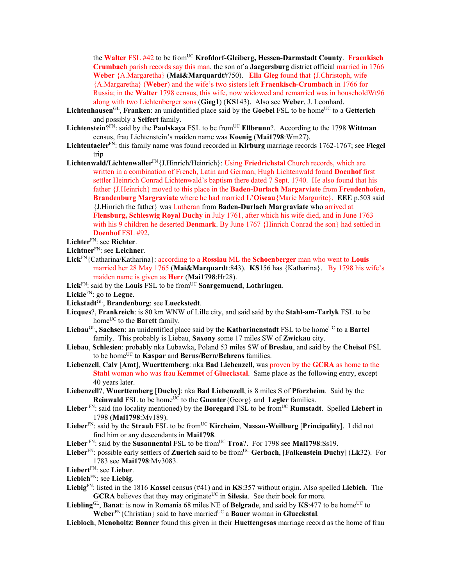the Walter FSL #42 to be from<sup>UC</sup> Krofdorf-Gleiberg, Hessen-Darmstadt County. Fraenkisch **Crumbach** parish records say this man, the son of a **Jaegersburg** district official married in 1766 **Weber** {A.Margaretha} (**Mai&Marquardt**#750). **Ella Gieg** found that {J.Christoph, wife {A.Margaretha} (**Weber**) and the wife's two sisters left **Fraenkisch-Crumbach** in 1766 for Russia; in the **Walter** 1798 census, this wife, now widowed and remarried was in householdWt96 along with two Lichtenberger sons (**Gieg1**) (**KS**143). Also see **Weber**, J. Leonhard.

- Lichtenhausen<sup>GL</sup>, Franken: an unidentified place said by the **Goebel** FSL to be home<sup>UC</sup> to a Getterich and possibly a **Seifert** family.
- Lichtenstein?<sup>FN</sup>: said by the **Paulskaya** FSL to be from<sup>UC</sup> **Ellbrunn**?. According to the 1798 Wittman census, frau Lichtenstein's maiden name was **Koenig** (**Mai1798**:Wm27).
- **Lichtentaeler**FN: this family name was found recorded in **Kirburg** marriage records 1762-1767; see **Flegel** trip
- **Lichtenwald/Lichtenwaller**FN{J.Hinrich/Heinrich}: Using **Friedrichstal** Church records, which are written in a combination of French, Latin and German, Hugh Lichtenwald found **Doenhof** first settler Heinrich Conrad Lichtenwald's baptism there dated 7 Sept. 1740. He also found that his father {J.Heinrich} moved to this place in the **Baden-Durlach Margarviate** from **Freudenhofen, Brandenburg Margraviate** where he had married **L'Oiseau**{Marie Margurite}. **EEE** p.503 said {J.Hinrich the father} was Lutheran from **Baden-Durlach Margraviate** who arrived at **Flensburg, Schleswig Royal Duchy** in July 1761, after which his wife died, and in June 1763 with his 9 children he deserted **Denmark**. By June 1767 {Hinrich Conrad the son} had settled in **Doenhof** FSL #92.
- **Lichter**FN: see **Richter**.
- **Lichtner**FN: see **Leichner**.
- **Lick**FN{Catharina/Katharina}: according to a **Rosslau** ML the **Schoenberger** man who went to **Louis** married her 28 May 1765 (**Mai&Marquardt**:843). **KS**156 has {Katharina}. By 1798 his wife's maiden name is given as **Herr** (**Mai1798**:Hr28).
- **Lick**FN: said by the **Louis** FSL to be fromUC **Saargemuend**, **Lothringen**.
- **Lickie**FN: go to **Legue**.
- **Lickstadt**GL, **Brandenburg**: see **Lueckstedt**.
- **Licques**?, **Frankreich**: is 80 km WNW of Lille city, and said said by the **Stahl-am-Tarlyk** FSL to be home<sup>UC</sup> to the **Barett** family.
- Liebau<sup>GL</sup>, Sachsen: an unidentified place said by the **Katharinenstadt** FSL to be home<sup>UC</sup> to a Bartel family. This probably is Liebau, **Saxony** some 17 miles SW of **Zwickau** city.
- **Liebau**, **Schlesien**: probably nka Lubawka, Poland 53 miles SW of **Breslau**, and said by the **Cheisol** FSL to be homeUC to **Kaspar** and **Berns/Bern/Behrens** families.
- **Liebenzell**, **Calv** [**Amt**], **Wuerttemberg**: nka **Bad Liebenzell**, was proven by the **GCRA** as home to the **Stahl** woman who was frau **Kemmet** of **Glueckstal**. Same place as the following entry, except 40 years later.
- **Liebenzell**?, **Wuerttemberg** [**Duchy**]: nka **Bad Liebenzell**, is 8 miles S of **Pforzheim**. Said by the **Reinwald** FSL to be home<sup>UC</sup> to the **Guenter**{Georg} and **Legler** families.
- Lieber<sup> FN</sup>: said (no locality mentioned) by the **Boregard** FSL to be from<sup>UC</sup> **Rumstadt**. Spelled Liebert in 1798 (**Mai1798**:Mv189).
- **Lieber**<sup>FN</sup>: said by the **Straub** FSL to be from<sup>UC</sup> **Kircheim**, **Nassau-Weilburg** [**Principality**]. I did not find him or any descendants in **Mai1798**.
- **Lieber**  $\text{FN}$ : said by the **Susannental** FSL to be from<sup>UC</sup> **Troa**?. For 1798 see **Mai1798**:Ss19.
- Lieber<sup>FN</sup>: possible early settlers of Zuerich said to be from<sup>UC</sup> Gerbach, [Falkenstein Duchy] (Lk32). For 1783 see **Mai1798**:Mv3083.
- **Liebert**FN: see **Lieber**.
- **Liebich**FN: see **Liebig**.
- **Liebig**FN: listed in the 1816 **Kassel** census (#41) and in **KS**:357 without origin. Also spelled **Liebich**. The **GCRA** believes that they may originate<sup>UC</sup> in **Silesia**. See their book for more.
- **Liebling**GL, **Banat**: is now in Romania 68 miles NE of **Belgrade**, and said by  $KS$ :477 to be home<sup>UC</sup> to **Weber**<sup>FN</sup>{Christian} said to have married<sup>UC</sup> a **Bauer** woman in **Glueckstal**.
- **Liebloch**, **Menoholtz**: **Bonner** found this given in their **Huettengesas** marriage record as the home of frau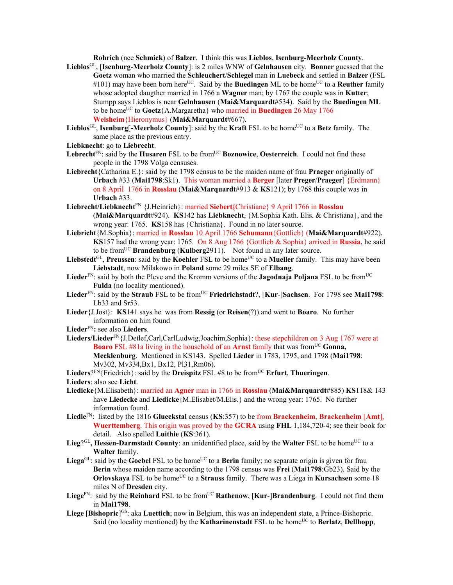**Rohrich** (nee **Schmick**) of **Balzer**. I think this was **Lieblos**, **Isenburg-Meerholz County**.

- **Lieblos**GL, [**Isenburg-Meerholz County**]: is 2 miles WNW of **Gelnhausen** city. **Bonner** guessed that the **Goetz** woman who married the **Schleuchert**/**Schlegel** man in **Luebeck** and settled in **Balzer** (FSL  $\#101$ ) may have been born here<sup>UC</sup>. Said by the **Buedingen** ML to be home<sup>UC</sup> to a **Reuther** family whose adopted daugther married in 1766 a **Wagner** man; by 1767 the couple was in **Kutter**; Stumpp says Lieblos is near **Gelnhausen** (**Mai&Marquardt**#534). Said by the **Buedingen ML**  to be homeUC to **Goetz**{A.Margaretha} who married in **Buedingen** 26 May 1766 **Weisheim**{Hieronymus} (**Mai&Marquardt**#667).
- Lieblos<sup>GL</sup>, **Isenburg**[-Meerholz County]: said by the Kraft FSL to be home<sup>UC</sup> to a Betz family. The same place as the previous entry.
- **Liebknecht**: go to **Liebrecht**.
- Lebrecht<sup>FN</sup>: said by the **Husaren** FSL to be from<sup>UC</sup> **Boznowice**, **Oesterreich**. I could not find these people in the 1798 Volga censuses.
- **Liebrecht**{Catharina E.}: said by the 1798 census to be the maiden name of frau **Praeger** originally of **Urbach** #33 (**Mai1798**:Sk1). This woman married a **Berger** [later **Preger**/**Praeger**] {Erdmann} on 8 April 1766 in **Rosslau** (**Mai&Marquardt**#913 & **KS**121); by 1768 this couple was in **Urbach** #33.
- **Liebrecht/Liebknecht**FN {J.Heinrich}: married **Siebert{**Christiane} 9 April 1766 in **Rosslau**  (**Mai&Marquardt**#924). **KS**142 has **Liebknecht**, {M.Sophia Kath. Elis. & Christiana}, and the wrong year: 1765. **KS**158 has {Christiana}. Found in no later source.
- **Liebricht**{M.Sophia}: married in **Rosslau** 10 April 1766 **Schumann**{Gottlieb} (**Mai&Marquardt**#922). **KS**157 had the wrong year: 1765. On 8 Aug 1766 {Gottlieb & Sophia} arrived in **Russia**, he said to be fromUC **Brandenburg** (**Kulberg**2911). Not found in any later source.
- Liebstedt<sup>GL</sup>, Preussen: said by the **Koehler** FSL to be home<sup>UC</sup> to a **Mueller** family. This may have been **Liebstadt**, now Milakowo in **Poland** some 29 miles SE of **Elbang**.
- Lieder<sup>FN</sup>: said by both the Pleve and the Kromm versions of the **Jagodnaja Poljana** FSL to be from<sup>UC</sup> **Fulda** (no locality mentioned).
- Lieder<sup>FN</sup>: said by the Straub FSL to be from<sup>UC</sup> Friedrichstadt?, [Kur-]Sachsen. For 1798 see Mai1798: Lb33 and Sr53.
- **Lieder**{J.Jost}: **KS**141 says he was from **Ressig** (or **Reisen**(?)) and went to **Boaro**. No further information on him found
- **Lieder**FN**:** see also **Lieders**.
- **Lieders/Lieder**FN{J.Detlef,Carl,CarlLudwig,Joachim,Sophia}: these stepchildren on 3 Aug 1767 were at **Boaro** FSL #81a living in the household of an **Arnst** family that was from<sup>UC</sup> Gonna, **Mecklenburg**. Mentioned in KS143. Spelled **Lieder** in 1783, 1795, and 1798 (**Mai1798**: Mv302, Mv334,Bx1, Bx12, Pl31,Rm06).

Lieders<sup>?FN</sup>{Friedrich}: said by the **Dreispitz** FSL #8 to be from<sup>UC</sup> **Erfurt**, **Thueringen**.

- **Liedicke**{M.Elisabeth}: married an **Agner** man in 1766 in **Rosslau** (**Mai&Marquardt**#885) **KS**118& 143 have **Liedecke** and **Liedicke**{M.Elisabet/M.Elis.} and the wrong year: 1765. No further information found.
- **Liedle**FN: listed by the 1816 **Glueckstal** census (**KS**:357) to be from **Brackenheim**, **Brackenheim** [**Amt**], **Wuerttemberg**. This origin was proved by the **GCRA** using **FHL** 1,184,720-4; see their book for detail. Also spelled **Luithie** (**KS**:361).
- Lieg?<sup>GL</sup>, Hessen-Darmstadt County: an unidentified place, said by the Walter FSL to be home<sup>UC</sup> to a **Walter** family.
- Liega<sup>GL</sup>: said by the **Goebel** FSL to be home<sup>UC</sup> to a **Berin** family; no separate origin is given for frau **Berin** whose maiden name according to the 1798 census was **Frei** (**Mai1798**:Gb23). Said by the **Orlovskaya** FSL to be home<sup>UC</sup> to a **Strauss** family. There was a Liega in **Kursachsen** some 18 miles N of **Dresden** city.
- **Liege**<sup>FN</sup>: said by the **Reinhard** FSL to be from<sup>UC</sup> **Rathenow**, [**Kur-**]Brandenburg. I could not find them in **Mai1798**.
- Liege [Bishopric]<sup>GS</sup>: aka Luettich; now in Belgium, this was an independent state, a Prince-Bishopric. Said (no locality mentioned) by the **Katharinenstadt** FSL to be home<sup>UC</sup> to **Berlatz**, **Dellhopp**,

**Lieders**: also see **Licht**.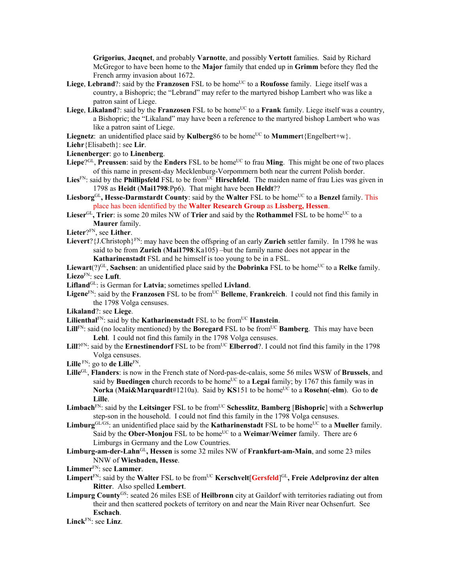**Grigorius**, **Jacqnet**, and probably **Varnotte**, and possibly **Vertott** families. Said by Richard McGregor to have been home to the **Major** family that ended up in **Grimm** before they fled the French army invasion about 1672.

- Liege, Lebrand?: said by the **Franzosen** FSL to be home<sup>UC</sup> to a **Roufosse** family. Liege itself was a country, a Bishopric; the "Lebrand" may refer to the martyred bishop Lambert who was like a patron saint of Liege.
- Liege, Likaland?: said by the **Franzosen** FSL to be home<sup>UC</sup> to a **Frank** family. Liege itself was a country, a Bishopric; the "Likaland" may have been a reference to the martyred bishop Lambert who was like a patron saint of Liege.
- **Liegnetz**: an unidentified place said by **Kulberg**86 to be home<sup>UC</sup> to **Mummer**t{Engelbert+w}.
- **Liehr**{Elisabeth}: see **Lir**.
- **Lienenberger**: go to **Linenberg**.
- **Liepe**? $G<sup>L</sup>$ , **Preussen**: said by the **Enders** FSL to be home<sup>UC</sup> to frau **Ming**. This might be one of two places of this name in present-day Mecklenburg-Vorpommern both near the current Polish border.
- Lies<sup>FN</sup>: said by the **Phillipsfeld** FSL to be from<sup>UC</sup> **Hirschfeld**. The maiden name of frau Lies was given in 1798 as **Heidt** (**Mai1798**:Pp6). That might have been **Heldt**??
- Liesborg<sup>GL</sup>, Hesse-Darmstardt County: said by the Walter FSL to be home<sup>UC</sup> to a Benzel family. This place has been identified by the **Walter Research Group** as **Lissberg, Hessen**.
- **Lieser**<sup>GL</sup>, Trier: is some 20 miles NW of Trier and said by the **Rothammel** FSL to be home<sup>UC</sup> to a **Maurer** family.
- **Lieter**?FN, see **Lither**.
- Lievert? {J.Christoph<sup>}FN</sup>: may have been the offspring of an early **Zurich** settler family. In 1798 he was said to be from **Zurich** (**Mai1798**:Ka105) –but the family name does not appear in the **Katharinenstadt** FSL and he himself is too young to be in a FSL.

Liewart(?)<sup>GL</sup>, Sachsen: an unidentified place said by the **Dobrinka** FSL to be home<sup>UC</sup> to a Relke family. **Liezo**FN: see **Luft**.

**Lifland**GL: is German for **Latvia**; sometimes spelled **Livland**.

- **Ligene**FN: said by the **Franzosen** FSL to be fromUC **Belleme**, **Frankreich**. I could not find this family in the 1798 Volga censuses.
- **Likaland**?: see **Liege**.
- **Lilienthal**<sup>FN</sup>: said by the **Katharinenstadt** FSL to be from<sup>UC</sup> **Hanstein**.
- Lill<sup>FN</sup>: said (no locality mentioned) by the **Boregard** FSL to be from<sup>UC</sup> **Bamberg**. This may have been **Lehl**. I could not find this family in the 1798 Volga censuses.
- **Lill**? $F_N$ : said by the **Ernestinendorf** FSL to be from<sup>UC</sup> **Elberrod**?. I could not find this family in the 1798 Volga censuses.
- Lille<sup>FN</sup>: go to **de Lille**<sup>FN</sup>.
- **Lille**GL, **Flanders**: is now in the French state of Nord-pas-de-calais, some 56 miles WSW of **Brussels**, and said by **Buedingen** church records to be home<sup>UC</sup> to a **Legai** family; by 1767 this family was in **Norka** (Mai&Marquardt#1210a). Said by **KS**151 to be home<sup>UC</sup> to a **Rosehn**(-elm). Go to de **Lille**.
- **Limbach**FN: said by the **Leitsinger** FSL to be fromUC **Schesslitz**, **Bamberg** [**Bishopric**] with a **Schwerlup** step-son in the household. I could not find this family in the 1798 Volga censuses.
- Limburg<sup>GL/GS</sup>: an unidentified place said by the **Katharinenstadt** FSL to be home<sup>UC</sup> to a **Mueller** family. Said by the **Ober-Monjou** FSL to be home<sup>UC</sup> to a **Weimar/Weimer** family. There are 6 Limburgs in Germany and the Low Countries.
- **Limburg-am-der-Lahn**GL**, Hessen** is some 32 miles NW of **Frankfurt-am-Main**, and some 23 miles NNW of **Wiesbaden, Hesse**.
- **Limmer**FN: see **Lammer**.
- $L$ **impert** $^{FN}$ : said by the **Walter** <code>FSL</code> to be from<sup>UC</sup> **Kerschvelt[Gersfeld]**<sup>GL</sup>, **Freie Adelprovinz der alten Ritter**. Also spelled **Lembert**.
- **Limpurg County**GS: seated 26 miles ESE of **Heilbronn** city at Gaildorf with territories radiating out from their and then scattered pockets of territory on and near the Main River near Ochsenfurt. See **Eschach**.

**Linck**FN: see **Linz**.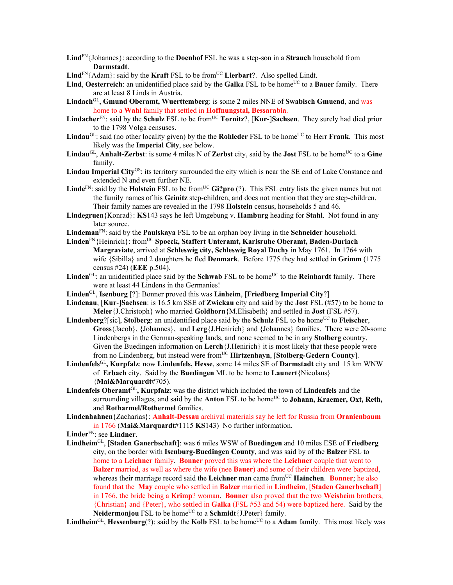**Lind**FN{Johannes}: according to the **Doenhof** FSL he was a step-son in a **Strauch** household from **Darmstadt**.

 $\text{Lind}^{\text{FN}}\{\text{Adam}\}\text{: said by the Kraft FSL to be from <sup>UC</sup> \text{Lierbart}\}\text{?}$ . Also spelled Lindt.

**Lind, Oesterreich**: an unidentified place said by the **Galka** FSL to be home<sup>UC</sup> to a **Bauer** family. There are at least 8 Linds in Austria.

- **Lindach**GL, **Gmund Oberamt, Wuerttemberg**: is some 2 miles NNE of **Swabisch Gmuend**, and was home to a **Wahl** family that settled in **Hoffnungstal, Bessarabia**.
- **Lindacher**FN: said by the **Schulz** FSL to be fromUC **Tornitz**?, [**Kur**-]**Sachsen**. They surely had died prior to the 1798 Volga censuses.
- **Lindau**<sup>GL</sup>: said (no other locality given) by the the **Rohleder** FSL to be home<sup>UC</sup> to Herr **Frank**. This most likely was the **Imperial City**, see below.
- **Lindau**<sup>GL</sup>, **Anhalt-Zerbst**: is some 4 miles N of **Zerbst** city, said by the **Jost** FSL to be home<sup>UC</sup> to a **Gine** family.
- **Lindau Imperial City**GS: its territory surrounded the city which is near the SE end of Lake Constance and extended N and even further NE.
- **Linde**FN: said by the **Holstein** FSL to be from<sup>UC</sup> **Gi?pro** (?). This FSL entry lists the given names but not the family names of his **Geinitz** step-children, and does not mention that they are step-children. Their family names are revealed in the 1798 **Holstein** census, households 5 and 46.
- **Lindegruen**{Konrad}: **KS**143 says he left Umgebung v. **Hamburg** heading for **Stahl**. Not found in any later source.
- **Lindeman**FN: said by the **Paulskaya** FSL to be an orphan boy living in the **Schneider** household.
- Linden<sup>FN</sup>{Heinrich}: from<sup>UC</sup> Spoeck, Staffert Unteramt, Karlsruhe Oberamt, Baden-Durlach **Margraviate**, arrived at **Schleswig city, Schleswig Royal Duchy** in May 1761. In 1764 with wife {Sibilla} and 2 daughters he fled **Denmark**. Before 1775 they had settled in **Grimm** (1775 census #24) (**EEE** p.504).
- Linden<sup>GL</sup>: an unidentified place said by the **Schwab** FSL to be home<sup>UC</sup> to the **Reinhardt** family. There were at least 44 Lindens in the Germanies!
- **Linden**GL, **Isenburg** [?]: Bonner proved this was **Linheim**, [**Friedberg Imperial City**?]
- **Lindenau**, [**Kur**-]**Sachsen**: is 16.5 km SSE of **Zwickau** city and said by the **Jost** FSL (#57) to be home to **Meier**{J.Christoph} who married **Goldhorn**{M.Elisabeth} and settled in **Jost** (FSL #57).
- **Lindenberg**?[sic], **Stolberg**: an unidentified place said by the **Schulz** FSL to be home<sup>UC</sup> to **Fleischer**, **Gross**{Jacob}, {Johannes}, and **Lerg**{J.Henirich} and {Johannes} families. There were 20-some Lindenbergs in the German-speaking lands, and none seemed to be in any **Stolberg** country. Given the Buedingen information on **Lerch**{J.Henirich} it is most likely that these people were from no Lindenberg, but instead were fromUC **Hirtzenhayn**, [**Stolberg-Gedern County**].
- **Lindenfels**GL**, Kurpfalz**: now **Lindenfels, Hesse**, some 14 miles SE of **Darmstadt** city and 15 km WNW of **Erbach** city. Said by the **Buedingen** ML to be home to **Launert**{Nicolaus} {**Mai&Marquardt**#705).
- **Lindenfels Oberamt**GL**, Kurpfalz**: was the district which included the town of **Lindenfels** and the surrounding villages, and said by the **Anton** FSL to be home<sup>UC</sup> to **Johann, Kraemer, Oxt, Reth,** and **Rotharmel/Rothermel** families.
- **Lindenhahnen**{Zacharias}: **Anhalt-Dessau** archival materials say he left for Russia from **Oranienbaum**  in 1766 (**Mai&Marquardt**#1115 **KS**143) No further information.

**Linder**FN: see **Lindner**.

**Lindheim**GL, [**Staden Ganerbschaft**]: was 6 miles WSW of **Buedingen** and 10 miles ESE of **Friedberg** city, on the border with **Isenburg-Buedingen County**, and was said by of the **Balzer** FSL to home to a **Leichner** family. **Bonner** proved this was where the **Leichner** couple that went to **Balzer** married, as well as where the wife (nee **Bauer**) and some of their children were baptized, whereas their marriage record said the **Leichner** man came from<sup>UC</sup> **Hainchen**. **Bonner**; he also found that the **May** couple who settled in **Balzer** married in **Lindheim**, [**Staden Ganerbschaft**] in 1766, the bride being a **Krimp**? woman. **Bonner** also proved that the two **Weisheim** brothers, {Christian} and {Peter}, who settled in **Galka** (FSL #53 and 54) were baptized here. Said by the **Neidermonjou** FSL to be home<sup>UC</sup> to a **Schmidt**{J.Peter} family.

**Lindheim**<sup>GL</sup>, **Hessenburg**(?): said by the **Kolb** FSL to be home<sup>UC</sup> to a **Adam** family. This most likely was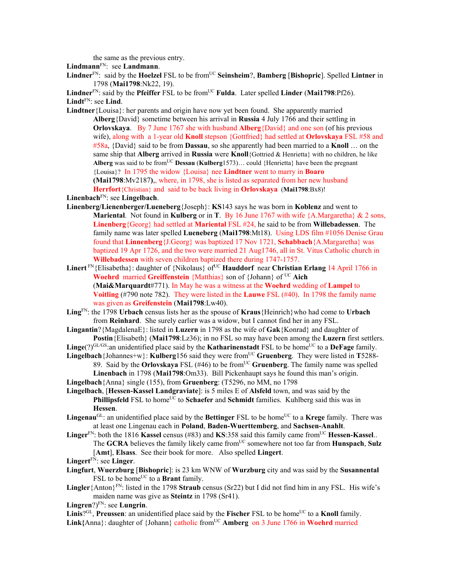the same as the previous entry.

**Lindmann**FN: see **Landmann**.

**Lindner**FN: said by the **Hoelzel** FSL to be fromUC **Seinsheim**?, **Bamberg** [**Bishopric**]. Spelled **Lintner** in 1798 (**Mai1798**:Nk22, 19).

**Lindner**<sup>FN</sup>: said by the **Pfeiffer** FSL to be from<sup>UC</sup> **Fulda**. Later spelled **Linder** (Mai1798:Pf26). **Lindt**FN: see **Lind**.

**Lindtner**{Louisa}: her parents and origin have now yet been found. She apparently married **Alberg**{David} sometime between his arrival in **Russia** 4 July 1766 and their settling in **Orlovskaya**. By 7 June 1767 she with husband **Alberg**{David} and one son (of his previous wife), along with a 1-year old **Knoll** stepson {Gottfried} had settled at **Orlovskaya** FSL #58 and #58a, {David} said to be from **Dassau**, so she apparently had been married to a **Knoll** … on the same ship that **Alberg** arrived in **Russia** were **Knoll**{Gottried & Henrietta} with no children, he like **Alberg** was said to be fromUC **Dessau** (**Kulberg**1573)… could {Henrietta} have been the pregnant {Louisa}? In 1795 the widow {Louisa} nee **Lindtner** went to marry in **Boaro (Mai1798**:Mv2187**)**,, where, in 1798, she is listed as separated from her new husband **Herrfort**{Christian} and said to be back living in **Orlovskaya** (**Mai1798**:Bx8)!

**Linenbach**FN: see **Lingelbach**.

- **Linenberg/Lienenberger/Lueneberg**{Joseph}: **KS**143 says he was born in **Koblenz** and went to **Mariental**. Not found in **Kulberg** or in **T**. By 16 June 1767 with wife {A.Margaretha} & 2 sons, **Linenberg**{Georg} had settled at **Mariental** FSL #24, he said to be from **Willebadessen**. The family name was later spelled **Lueneberg** (**Mai1798**:Mt18). Using LDS film #1056 Denise Grau found that **Linnenberg**{J.Georg} was baptized 17 Nov 1721, **Schabbach**{A.Margaretha} was baptized 19 Apr 1726, and the two were married 21 Aug1746, all in St. Vitus Catholic church in **Willebadessen** with seven children baptized there during 1747-1757.
- Linert<sup>FN</sup>{Elisabetha}: daughter of {Nikolaus} of<sup>UC</sup> **Hauddorf** near **Christian Erlang** 14 April 1766 in **Woehrd** married **Greiffenstein** {Matthias} son of {Johann} of UC **Aich** (**Mai&Marquardt**#771). In May he was a witness at the **Woehrd** wedding of **Lampel** to **Voitling** (#790 note 782). They were listed in the **Lauwe** FSL (#40). In 1798 the family name was given as **Greifenstein** (**Mai1798**:Lw40).
- **Ling**FN: the 1798 **Urbach** census lists her as the spouse of **Kraus**{Heinrich}who had come to **Urbach** from **Reinhard**. She surely earlier was a widow, but I cannot find her in any FSL.
- **Lingantin**?{MagdalenaE}: listed in **Luzern** in 1798 as the wife of **Gak**{Konrad} and daughter of **Postin**{Elisabeth} (**Mai1798**:Lz36); in no FSL so may have been among the **Luzern** first settlers.
- $\text{Line}(?)^{\text{GL/GS}}$ :an unidentified place said by the **Katharinenstadt** FSL to be home<sup>UC</sup> to a **DeFage** family.
- **Lingelbach** {Johannes+w}: **Kulberg**156 said they were from<sup>UC</sup> Gruenberg. They were listed in **T**5288-89. Said by the **Orlovskaya** FSL (#46) to be fromUC **Gruenberg**. The family name was spelled **Linenbach** in 1798 (**Mai1798**:Om33). Bill Pickenhaupt says he found this man's origin.

**Lingelbach**{Anna} single (155), from **Gruenberg**: (T5296, no MM, no 1798

- **Lingelbach**, [**Hessen-Kassel Landgraviate**]: is 5 miles E of **Alsfeld** town, and was said by the **Phillipsfeld** FSL to home<sup>UC</sup> to **Schaefer** and **Schmidt** families. Kuhlberg said this was in **Hessen**.
- Lingenau<sup>GL</sup>: an unidentified place said by the Bettinger FSL to be home<sup>UC</sup> to a **Krege** family. There was at least one Lingenau each in **Poland**, **Baden-Wuerttemberg**, and **Sachsen-Anahlt**.
- Linger<sup>FN</sup>: both the 1816 **Kassel** census (#83) and **KS**:358 said this family came from<sup>UC</sup> Hessen-Kassel.. The **GCRA** believes the family likely came fromUC somewhere not too far from **Hunspach**, **Sulz** [**Amt**], **Elsass**. See their book for more. Also spelled **Lingert**.

**Lingert**FN: see **Linger**.

- **Lingfurt**, **Wuerzburg** [**Bishopric**]: is 23 km WNW of **Wurzburg** city and was said by the **Susannental** FSL to be home<sup>UC</sup> to a **Brant** family.
- **Lingler**{Anton}FN: listed in the 1798 **Straub** census (Sr22) but I did not find him in any FSL. His wife's maiden name was give as **Steintz** in 1798 (Sr41).

**Lingren**?)FN: see **Lungrin**.

**Linis**? $GL$ , **Preussen**: an unidentified place said by the **Fischer** FSL to be home<sup>UC</sup> to a **Knoll** family. Link{Anna}: daughter of {Johann} catholic from<sup>UC</sup> Amberg on 3 June 1766 in Woehrd married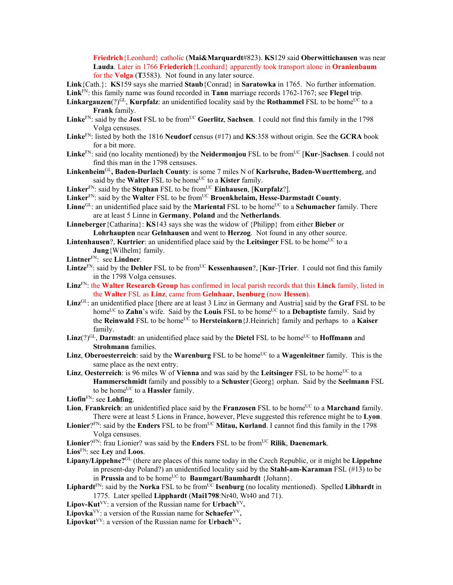**Friedrich**{Leonhard} catholic (**Mai&Marquardt**#823). **KS**129 said **Oberwittichausen** was near **Lauda**. Later in 1766 **Friederich**{Leonhard} apparently took transport alone in **Oranienbaum** for the **Volga** (**T**3583). Not found in any later source.

**Link**{Cath.}: **KS**159 says she married **Staub**{Conrad} in **Saratowka** in 1765. No further information.

**Link**FN: this family name was found recorded in **Tann** marriage records 1762-1767; see **Flegel** trip.

- **Linkargauzen**(?) $^{GL}$ , **Kurpfalz**: an unidentified locality said by the **Rothammel** FSL to be home<sup>UC</sup> to a **Frank** family.
- Linke<sup>FN</sup>: said by the **Jost** FSL to be from<sup>UC</sup> Goerlitz, Sachsen. I could not find this family in the 1798 Volga censuses.
- **Linke**FN: listed by both the 1816 **Neudorf** census (#17) and **KS**:358 without origin. See the **GCRA** book for a bit more.
- **Linke**FN: said (no locality mentioned) by the **Neidermonjou** FSL to be fromUC [**Kur**-]**Sachsen**. I could not find this man in the 1798 censuses.
- **Linkenheim**GL**, Baden-Durlach County**: is some 7 miles N of **Karlsruhe, Baden-Wuerttemberg**, and said by the **Walter** FSL to be home<sup>UC</sup> to a **Kister** family.
- Linker<sup>FN</sup>: said by the **Stephan** FSL to be from<sup>UC</sup> **Einhausen**, [**Kurpfalz**?].
- Linker<sup>FN</sup>: said by the Walter FSL to be from<sup>UC</sup> Broenkhelaim, Hesse-Darmstadt County.
- Linne<sup>GL</sup>: an unidentified place said by the **Mariental** FSL to be home<sup>UC</sup> to a **Schumacher** family. There are at least 5 Linne in **Germany**, **Poland** and the **Netherlands**.
- **Linneberger**{Catharina}: **KS**143 says she was the widow of {Philipp} from either **Bieber** or **Lohrhaupten** near **Gelnhausen** and went to **Herzog**. Not found in any other source.
- **Lintenhausen?, Kurtrier**: an unidentified place said by the **Leitsinger** FSL to be home<sup>UC</sup> to a **Jung**{Wilhelm} family.
- **Lintner**FN: see **Lindner**.
- Lintze<sup>FN</sup>: said by the Dehler FSL to be from<sup>UC</sup> Kessenhausen?, [Kur-]Trier. I could not find this family in the 1798 Volga censuses.
- **Linz**FN: the **Walter Research Group** has confirmed in local parish records that this **Linck** family, listed in the **Walter** FSL as **Linz**, came from **Gelnhaar, Isenburg** (now **Hessen**).
- **Linz**GL: an unidentified place [there are at least 3 Linz in Germany and Austria] said by the **Graf** FSL to be home<sup>UC</sup> to **Zahn**'s wife. Said by the **Louis** FSL to be home<sup>UC</sup> to a **Debaptiste** family. Said by the **Reinwald** FSL to be home<sup>UC</sup> to **Hersteinkorn** {J.Heinrich} family and perhaps to a **Kaiser** family.
- Linz(?)<sup>GL</sup>, **Darmstadt**: an unidentified place said by the **Dietel** FSL to be home<sup>UC</sup> to **Hoffmann** and **Strohmann** families.
- **Linz**, **Oberoesterreich**: said by the **Warenburg** FSL to be home<sup>UC</sup> to a **Wagenleitner** family. This is the same place as the next entry.
- **Linz**, **Oesterreich**: is 96 miles W of **Vienna** and was said by the **Leitsinger** FSL to be home<sup>UC</sup> to a **Hammerschmidt** family and possibly to a **Schuster**{Georg} orphan. Said by the **Seelmann** FSL to be home<sup>UC</sup> to a **Hassler** family.
- **Liofin**FN: see **Lohfing**.
- **Lion, Frankreich**: an unidentified place said by the **Franzosen** FSL to be home<sup>UC</sup> to a **Marchand** family. There were at least 5 Lions in France, however, Pleve suggested this reference might be to **Lyon**.
- Lionier?<sup>FN</sup>: said by the Enders FSL to be from<sup>UC</sup> Mitau, Kurland. I cannot find this family in the 1798 Volga censuses.
- Lionier?<sup>FN</sup>: frau Lionier? was said by the **Enders** FSL to be from<sup>UC</sup> **Rilik**, **Daenemark**.
- **Lios**FN: see **Ley** and **Loos**.
- **Lipany/Lippehne?**GL (there are places of this name today in the Czech Republic, or it might be **Lippehne**  in present-day Poland?) an unidentified locality said by the **Stahl-am-Karaman** FSL (#13) to be in **Prussia** and to be home<sup>UC</sup> to **Baumgart/Baumhardt** {Johann}.
- **Liphardt**<sup>FN</sup>: said by the **Norka** FSL to be from<sup>UC</sup> **Isenburg** (no locality mentioned). Spelled **Libhardt** in 1775. Later spelled **Lipphardt** (**Mai1798**:Nr40, Wt40 and 71).
- **Lipov-Kut**<sup>VV</sup>: a version of the Russian name for Urbach<sup>VV</sup>.
- Lipovka<sup>VV</sup>: a version of the Russian name for **Schaefer**<sup>VV</sup>.
- **Lipovkut**<sup>VV</sup>: a version of the Russian name for **Urbach**<sup>VV</sup>.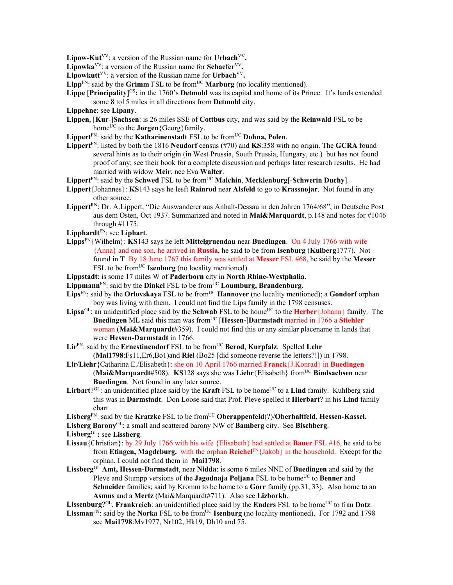**Lipow-Kut**<sup>VV</sup>: a version of the Russian name for Urbach<sup>VV</sup>.

**Lipowka**VV: a version of the Russian name for **Schaefer**VV**.** 

**Lipowkutt**<sup>VV</sup>: a version of the Russian name for Urbach<sup>VV</sup>.

- **Lipp**<sup>FN</sup>: said by the **Grimm** FSL to be from<sup>UC</sup> **Marburg** (no locality mentioned).
- Lippe [Principality]<sup>GS</sup>: in the 1760's Detmold was its capital and home of its Prince. It's lands extended some 8 to15 miles in all directions from **Detmold** city.
- **Lippehne**: see **Lipany**.
- **Lippen**, [**Kur**-]**Sachsen**: is 26 miles SSE of **Cottbus** city, and was said by the **Reinwald** FSL to be home<sup>UC</sup> to the **Jorgen** {Georg} family.
- Lippert<sup>FN</sup>: said by the **Katharinenstadt** FSL to be from<sup>UC</sup> Dohna, Polen.
- **Lippert**FN: listed by both the 1816 **Neudorf** census (#70) and **KS**:358 with no origin. The **GCRA** found several hints as to their origin (in West Prussia, South Prussia, Hungary, etc.) but has not found proof of any; see their book for a complete discussion and perhaps later research results. He had married with widow **Meir**, nee Eva **Walter**.
- Lippert<sup>FN</sup>: said by the **Schwed** FSL to be from<sup>UC</sup> **Malchin**, **Mecklenburg**[-Schwerin Duchy].
- **Lippert**{Johannes}: **KS**143 says he lesft **Rainrod** near **Alsfeld** to go to **Krassnojar**. Not found in any other source.
- **Lippert**RN: Dr. A.Lippert, "Die Auswanderer aus Anhalt-Dessau in den Jahren 1764/68", in Deutsche Post aus dem Osten, Oct 1937. Summarized and noted in **Mai&Marquardt**, p.148 and notes for #1046 through #1175.
- **Lipphardt**FN: see **Liphart**.
- **Lipps**FN{Wilhelm}: **KS**143 says he left **Mittelgruendau** near **Buedingen**. On 4 July 1766 with wife {Anna} and one son, he arrived in **Russia**, he said to be from **Isenburg** (**Kulberg**1777). Not found in **T** By 18 June 1767 this family was settled at **Messer** FSL #68, he said by the **Messer** FSL to be from<sup>UC</sup> **Isenburg** (no locality mentioned).
- **Lippstadt**: is some 17 miles W of **Paderborn** city in **North Rhine-Westphalia**.
- Lippmann<sup>FN</sup>: said by the Dinkel FSL to be from<sup>UC</sup> Loumburg, Brandenburg.
- Lips<sup>FN</sup>: said by the **Orlovskaya** FSL to be from<sup>UC</sup> **Hannover** (no locality mentioned); a **Gondorf** orphan boy was living with them. I could not find the Lips family in the 1798 censuses.
- Lipsa<sup>GL</sup>: an unidentified place said by the **Schwab** FSL to be home<sup>UC</sup> to the **Herber**{Johann} family. The **Buedingen** ML said this man was from<sup>UC</sup> [Hessen-]Darmstadt married in 1766 a Stiehler woman (**Mai&Marquardt**#359). I could not find this or any similar placename in lands that were **Hessen-Darmstadt** in 1766.
- **Lir<sup>FN</sup>: said by the Ernestinendorf** FSL to be from<sup>UC</sup> **Berod, Kurpfalz**. Spelled Lehr (**Mai1798**:Fs11,Er6,Bo1)and **Riel** (Bo25 [did someone reverse the letters?!]) in 1798.
- **Lir/Liehr**{Catharina E./Elisabeth}: she on 10 April 1766 married **Franck**{J.Konrad} in **Buedingen** (**Mai&Marquardt**#508). **KS**128 says she was **Liehr**{Elisabeth} fromUC **Bindsachsen** near **Buedingen**.Not found in any later source.
- Lirbart? $G<sup>CL</sup>$ : an unidentified place said by the **Kraft** FSL to be home<sup>UC</sup> to a Lind family. Kuhlberg said this was in **Darmstadt**. Don Loose said that Prof. Pleve spelled it **Hierbart**? in his **Lind** family chart
- Lisberg<sup>FN</sup>: said by the **Kratzke** FSL to be from<sup>UC</sup> Oberappenfeld(?)/Oberhaltfeld, Hessen-Kassel.

**Lisberg Barony**GL: a small and scattered barony NW of **Bamberg** city. See **Bischberg**.

**Lisberg**GL**:** see **Lissberg**.

- **Lissau**{Christian}: by 29 July 1766 with his wife {Elisabeth} had settled at **Bauer** FSL #16, he said to be from **Etingen, Magdeburg.** with the orphan **Reichel**FN{Jakob} in the household. Except for the orphan, I could not find them in **Mai1798**.
- **Lissberg**GL **Amt, Hessen-Darmstadt**, near **Nidda**: is some 6 miles NNE of **Buedingen** and said by the Pleve and Stumpp versions of the **Jagodnaja Poljana** FSL to be home<sup>UC</sup> to **Benner** and **Schneider** families; said by Kromm to be home to a **Gorr** family (pp.31, 33). Also home to an **Asmus** and a **Mertz** (Mai&Marquardt#711). Also see **Lizborkh**.

**Lissenburg**? $GL$ , **Frankreich**: an unidentified place said by the **Enders** FSL to be home<sup>UC</sup> to frau **Dotz**.

Lissman<sup>FN</sup>: said by the **Norka** FSL to be from<sup>UC</sup> **Isenburg** (no locality mentioned). For 1792 and 1798 see **Mai1798**:Mv1977, Nr102, Hk19, Dh10 and 75.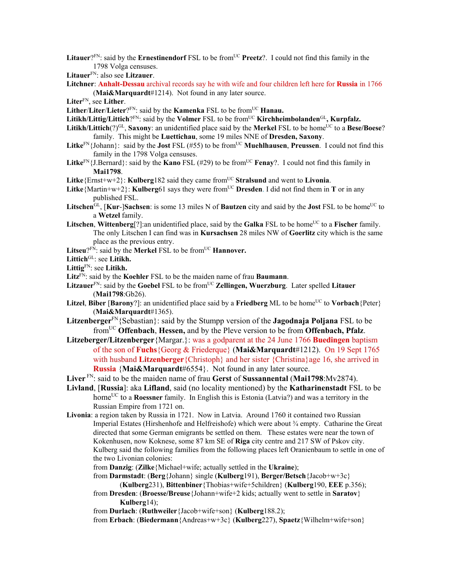- Litauer?<sup>FN</sup>: said by the **Ernestinendorf** FSL to be from<sup>UC</sup> **Preetz**?. I could not find this family in the 1798 Volga censuses.
- **Litauer**FN: also see **Litzauer**.
- **Litchner**: **Anhalt-Dessau** archival records say he with wife and four children left here for **Russia** in 1766 (**Mai&Marquardt**#1214). Not found in any later source.
- **Liter**FN, see **Lither**.
- Lither/Liter/Lieter?<sup>FN</sup>: said by the **Kamenka** FSL to be from<sup>UC</sup> **Hanau.**
- Litikh/Littig/Littich?<sup>FN</sup>: said by the **Volmer** FSL to be from<sup>UC</sup> **Kirchheimbolanden**<sup>GL</sup>, **Kurpfalz.**
- **Litikh/Littich** $(?)^{GL}$ , **Saxony**: an unidentified place said by the **Merkel** FSL to be home<sup>UC</sup> to a **Bese/Boese**? family. This might be **Luettichau**, some 19 miles NNE of **Dresden, Saxony**.
- Litke<sup>FN</sup>{Johann}: said by the **Jost** FSL (#55) to be from<sup>UC</sup> **Muehlhausen**, **Preussen**. I could not find this family in the 1798 Volga censuses.
- **Litke**<sup>FN</sup>{J.Bernard}: said by the **Kano** FSL (#29) to be from<sup>UC</sup> **Fenay**?. I could not find this family in **Mai1798**.
- **Litke**{Ernst+w+2}: **Kulberg**182 said they came from<sup>UC</sup> Stralsund and went to **Livonia**.
- **Litke**{Martin+w+2}: **Kulberg**61 says they were from<sup>UC</sup> Dresden. I did not find them in **T** or in any published FSL.
- **Litschen**<sup>GL</sup>, [**Kur-**]**Sachsen**: is some 13 miles N of **Bautzen** city and said by the **Jost** FSL to be home<sup>UC</sup> to a **Wetzel** family.
- **Litschen**, **Wittenberg**[?]:an unidentified place, said by the **Galka** FSL to be home<sup>UC</sup> to a **Fischer** family. The only Litschen I can find was in **Kursachsen** 28 miles NW of **Goerlitz** city which is the same place as the previous entry.
- Litseu?<sup>FN</sup>: said by the **Merkel** FSL to be from<sup>UC</sup> **Hannover.**
- **Littich**GL: see **Litikh.**
- **Littig**FN: see **Litikh.**
- **Litz**FN: said by the **Koehler** FSL to be the maiden name of frau **Baumann**.
- Litzauer<sup>FN</sup>: said by the Goebel FSL to be from<sup>UC</sup> Zellingen, Wuerzburg. Later spelled Litauer (**Mai1798**:Gb26).
- **Litzel, Biber [Barony?]:** an unidentified place said by a **Friedberg** ML to be home<sup>UC</sup> to **Vorbach**{Peter} (**Mai&Marquardt**#1365).
- **Litzenberger**FN{Sebastian}: said by the Stumpp version of the **Jagodnaja Poljana** FSL to be fromUC **Offenbach**, **Hessen,** and by the Pleve version to be from **Offenbach, Pfalz**.
- **Litzeberger/Litzenberger**{Margar.}: was a godparent at the 24 June 1766 **Buedingen** baptism of the son of **Fuchs**{Georg & Friederque} (**Mai&Marquardt**#1212). On 19 Sept 1765 with husband **Litzenberger**{Christoph} and her sister {Christina}age 16, she arrived in **Russia** {**Mai&Marquardt**#6554}. Not found in any later source.
- **Liver** FN: said to be the maiden name of frau **Gerst** of **Sussannental** (**Mai1798**:Mv2874).
- **Livland**, [**Russia**]: aka **Lifland**, said (no locality mentioned) by the **Katharinenstadt** FSL to be home<sup>UC</sup> to a **Roessner** family. In English this is Estonia (Latvia?) and was a territory in the Russian Empire from 1721 on.
- **Livonia**: a region taken by Russia in 1721. Now in Latvia. Around 1760 it contained two Russian Imperial Estates (Hirshenhofe and Helfreishofe) which were about ¾ empty. Catharine the Great directed that some German emigrants be settled on them. These estates were near the town of Kokenhusen, now Koknese, some 87 km SE of **Riga** city centre and 217 SW of Pskov city. Kulberg said the following families from the following places left Oranienbaum to settle in one of the two Livonian colonies:
	- from **Danzig**: (**Zilke**{Michael+wife; actually settled in the **Ukraine**);
	- from **Darmstadt**: (**Berg**{Johann} single (**Kulberg**191), **Berger/Betsch**{Jacob+w+3c} (**Kulberg**231), **Bittenbiner**{Thobias+wife+5children} (**Kulberg**190, **EEE** p.356);
	- from **Dresden**: (**Broesse/Breuse**{Johann+wife+2 kids; actually went to settle in **Saratov**} **Kulberg**14);
	- from **Durlach**: (**Ruthweiler**{Jacob+wife+son} (**Kulberg**188.2);

from **Erbach**: (**Biedermann**{Andreas+w+3c} (**Kulberg**227), **Spaetz**{Wilhelm+wife+son}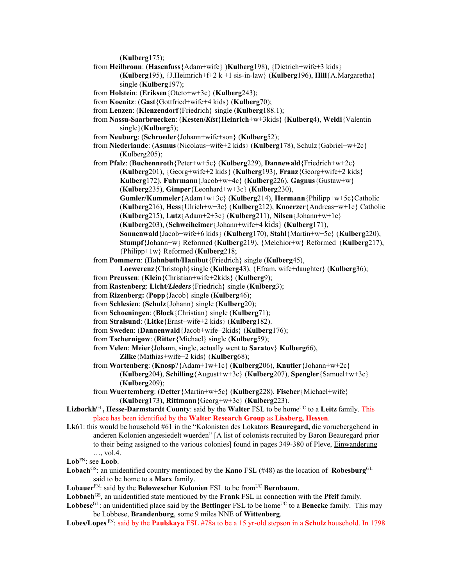(**Kulberg**175);

from **Heilbronn**: (**Hasenfuss**{Adam+wife} )**Kulberg**198), {Dietrich+wife+3 kids} (**Kulberg**195), {J.Heimrich+f+2 k +1 sis-in-law} (**Kulberg**196), **Hill**{A.Margaretha}

```
single (Kulberg197);
```
- from **Holstein**: (**Eriksen**{Oteto+w+3c} (**Kulberg**243);
- from **Koenitz**: (**Gast**{Gottfried+wife+4 kids} (**Kulberg**70);
- from **Lenzen**: (**Klenzendorf**{Friedrich} single (**Kulberg**188.1);
- from **Nassu-Saarbruecken**: (**Kesten/***Kist*{**Heinrich**+w+3kids} (**Kulberg**4), **Weldi**{Valentin single}(**Kulberg**5);
- from **Neuburg**: (**Schroeder**{Johann+wife+son} (**Kulberg**52);
- from **Niederlande**: (**Asmus**{Nicolaus+wife+2 kids} (**Kulberg**178), Schulz{Gabriel+w+2c} (Kulberg205);
- from **Pfalz**: (**Buchennroth**{Peter+w+5c} (**Kulberg**229), **Dannewald**{Friedrich+w+2c} (**Kulberg**201), {Georg+wife+2 kids} (**Kulberg**193), **Franz**{Georg+wife+2 kids} **Kulberg**172), **Fuhrmann**{Jacob+w+4c} (**Kulberg**226), **Gagnus**{Gustaw+w}
	- (**Kulberg**235), **Gimper**{Leonhard+w+3c} (**Kulberg**230),
	- **Gumler/Kummeler**{Adam+w+3c} (**Kulberg**214), **Hermann**{Philipp+w+5c}Catholic
	- (**Kulberg**216), **Hess**{Ulrich+w+3c} (**Kulberg**212), **Knoerzer**{Andreas+w+1c} Catholic
	- (**Kulberg**215), **Lutz**{Adam+2+3c} (**Kulberg**211), **Nilsen**{Johann+w+1c}
	- (**Kulberg**203), (**Schweiheimer**{Johann+wife+4 kids} **(Kulberg**171),
	- **Sonnenwald**{Jacob+wife+6 kids} (**Kulberg**170), **Stahl**{Martin+w+5c} (**Kulberg**220),
	- **Stumpf**{Johann+w} Reformed (**Kulberg**219), {Melchior+w} Reformed (**Kulberg**217),
	- {Philipp+1w} Reformed (**Kulberg**218;
- from **Pommern**: (**Hahnbuth/Hanibut**{Friedrich} single (**Kulberg**45),
- **Loewerenz**{Christoph}single (**Kulberg**43), {Efram, wife+daughter} (**Kulberg**36);
- from **Preussen**: (**Klein**{Christian+wife+2kids} (**Kulberg**9);
- from **Rastenberg**: **Licht***/Lieders*{Friedrich} single (**Kulberg**3);
- from **Rizenberg:** (**Popp**{Jacob} single (**Kulberg**46);
- from **Schlesien**: (**Schulz**{Johann} single (**Kulberg**20);
- from **Schoeningen**: (**Block**{Christian} single (**Kulberg**71);
- from **Stralsund**: (**Litke**{Ernst+wife+2 kids} (**Kulberg**182).
- from **Sweden**: (**Dannenwald**{Jacob+wife+2kids} (**Kulberg**176);
- from **Tschernigow**: (**Ritter**{Michael} single (**Kulberg**59);
- from **Velen**: **Meier**{Johann, single, actually went to **Saratov**} **Kulberg**66), **Zilke**{Mathias+wife+2 kids} (**Kulberg**68);
- from **Wartenberg**: (**Knosp**?{Adam+1w+1c} (**Kulberg**206), **Knutler**{Johann+w+2c} (**Kulberg**204), **Schilling**{August+w+3c} (**Kulberg**207), **Spengler**{Samuel+w+3c} (**Kulberg**209);
- from **Wuertemberg**: (**Detter**{Martin+w+5c} (**Kulberg**228), **Fischer**{Michael+wife} (**Kulberg**173), **Rittmann**{Georg+w+3c} (**Kulberg**223).
- Lizborkh<sup>GL</sup>, Hesse-Darmstardt County: said by the Walter FSL to be home<sup>UC</sup> to a Leitz family. This place has been identified by the **Walter Research Group** as **Lissberg, Hessen**.
- **Lk**61: this would be household #61 in the "Kolonisten des Lokators **Beauregard,** die voruebergehend in anderen Kolonien angesiedelt wuerden" [A list of colonists recruited by Baron Beauregard prior to their being assigned to the various colonies] found in pages 349-380 of Pleve, Einwanderung …, vol.4.
- **Lob**FN: see **Loob**.
- Lobach<sup>GS</sup>: an unidentified country mentioned by the **Kano** FSL (#48) as the location of **Robesburg**<sup>GL</sup> said to be home to a **Marx** family.
- Lobauer<sup>FN</sup>: said by the **Belowescher Kolonien** FSL to be from<sup>UC</sup> **Bernbaum**.
- **Lobbach**GS, an unidentified state mentioned by the **Frank** FSL in connection with the **Pfeif** family.
- **Lobbese**<sup>GL:</sup> an unidentified place said by the **Bettinger** FSL to be home<sup>UC</sup> to a **Benecke** family. This may be Lobbese, **Brandenburg**, some 9 miles NNE of **Wittenberg**.
- **Lobes/Lopes** FN: said by the **Paulskaya** FSL #78a to be a 15 yr-old stepson in a **Schulz** household. In 1798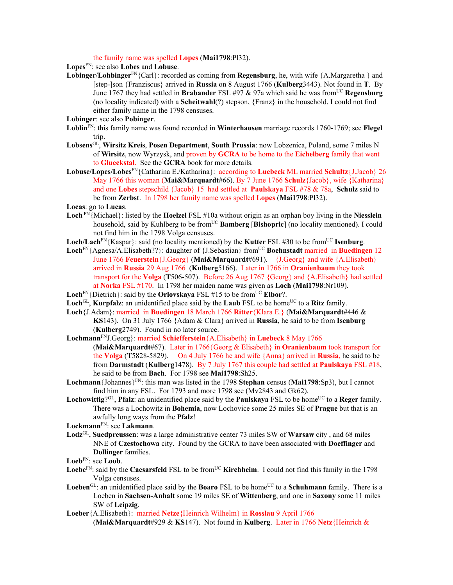the family name was spelled **Lopes** (**Mai1798**:Pl32).

**Lopes**FN: see also **Lobes** and **Lobuse**.

- **Lobinger**/**Lohbinger**FN{Carl}: recorded as coming from **Regensburg**, he, with wife {A.Margaretha } and [step-]son {Franziscus} arrived in **Russia** on 8 August 1766 (**Kulberg**3443). Not found in **T**. By June 1767 they had settled in **Brabander** FSL #97 & 97a which said he was from<sup>UC</sup> **Regensburg** (no locality indicated) with a **Scheitwahl**(?) stepson, {Franz} in the household. I could not find either family name in the 1798 censuses.
- **Lobinger**: see also **Pobinger**.
- **Loblin**FN: this family name was found recorded in **Winterhausen** marriage records 1760-1769; see **Flegel** trip.
- **Lobsens**GL, **Wirsitz Kreis**, **Posen Department**, **South Prussia**: now Lobzenica, Poland, some 7 miles N of **Wirsitz**, now Wyrzysk, and proven by **GCRA** to be home to the **Eichelberg** family that went to **Glueckstal**. See the **GCRA** book for more details.
- **Lobuse/Lopes/Lobes**FN{Catharina E./Katharina}: according to **Luebeck** ML married **Schultz**{J.Jacob} 26 May 1766 this woman (**Mai&Marquardt**#66). By 7 June 1766 **Schulz**{Jacob}, wife {Katharina} and one **Lobes** stepschild {Jacob} 15 had settled at **Paulskaya** FSL #78 & 78a, **Schulz** said to be from **Zerbst**. In 1798 her family name was spelled **Lopes** (**Mai1798**:Pl32).
- **Locas**: go to **Lucas**.
- **Loch** FN{Michael}: listed by the **Hoelzel** FSL #10a without origin as an orphan boy living in the **Niesslein** household, said by Kuhlberg to be from<sup>UC</sup> **Bamberg** [Bishopric] (no locality mentioned). I could not find him in the 1798 Volga censuses.
- Loch/Lach<sup>FN</sup>{Kaspar}: said (no locality mentioned) by the **Kutter** FSL #30 to be from<sup>UC</sup> **Isenburg**.
- **Loch**FN{Agnesa/A.Elisabeth??}: daughter of {J.Sebastian} fromUC **Boehnstadt** married in **Buedingen** 12 June 1766 **Feuerstein**{J.Georg} (**Mai&Marquardt**#691). {J.Georg} and wife {A.Elisabeth} arrived in **Russia** 29 Aug 1766 (**Kulberg**5166). Later in 1766 in **Oranienbaum** they took transport for the **Volga** (**T**506-507). Before 26 Aug 1767 {Georg} and {A.Elisabeth} had settled at **Norka** FSL #170. In 1798 her maiden name was given as **Loch** (**Mai1798**:Nr109).
- **Loch**<sup>FN</sup>{Dietrich}: said by the **Orlovskaya** FSL #15 to be from<sup>UC</sup> **Elbor**?.
- **Loch** $\text{GL}_n$  **Kurpfalz**: an unidentified place said by the **Laub** FSL to be home<sup>UC</sup> to a **Ritz** family.
- **Loch**{J.Adam}: married in **Buedingen** 18 March 1766 **Ritter**{Klara E.} (**Mai&Marquardt**#446 & **KS**143). On 31 July 1766 {Adam & Clara} arrived in **Russia**, he said to be from **Isenburg**  (**Kulberg**2749). Found in no later source.
- **Lochmann**FNJ.Georg}: married **Schiefferstein**{A.Elisabeth} in **Luebeck** 8 May 1766 (**Mai&Marquardt**#67). Later in 1766{Georg & Elisabeth} in **Oranienbaum** took transport for the **Volga** (**T**5828-5829). On 4 July 1766 he and wife {Anna} arrived in **Russia**, he said to be
	- from **Darmstadt** (**Kulberg**1478). By 7 July 1767 this couple had settled at **Paulskaya** FSL #18, he said to be from **Bach**. For 1798 see **Mai1798**:Sh25.
- **Lochmann**{Johannes}FN: this man was listed in the 1798 **Stephan** census (**Mai1798**:Sp3), but I cannot find him in any FSL. For 1793 and more 1798 see (Mv2843 and Gk62).
- Lochowittig?<sup>GL</sup>, **Pfalz**: an unidentified place said by the **Paulskaya** FSL to be home<sup>UC</sup> to a **Reger** family. There was a Lochowitz in **Bohemia**, now Lochovice some 25 miles SE of **Prague** but that is an awfully long ways from the **Pfalz**!

**Lockmann**FN: see **Lakmann**.

- **Lodz**GL, **Suedpreussen**: was a large administrative center 73 miles SW of **Warsaw** city , and 68 miles NNE of **Czestochowa** city. Found by the GCRA to have been associated with **Doeffinger** and **Dollinger** families.
- **Loeb**FN: see **Loob**.
- **Loebe**<sup>FN</sup>: said by the **Caesarsfeld** FSL to be from<sup>UC</sup> **Kirchheim**. I could not find this family in the 1798 Volga censuses.
- **Loeben**<sup>GL</sup>: an unidentified place said by the **Boaro** FSL to be home<sup>UC</sup> to a **Schuhmann** family. There is a Loeben in **Sachsen-Anhalt** some 19 miles SE of **Wittenberg**, and one in **Saxony** some 11 miles SW of **Leipzig**.
- **Loeber**{A.Elisabeth}: married **Netze**{Heinrich Wilhelm} in **Rosslau** 9 April 1766 (**Mai&Marquardt**#929 & **KS**147). Not found in **Kulberg**. Later in 1766 **Netz**{Heinrich &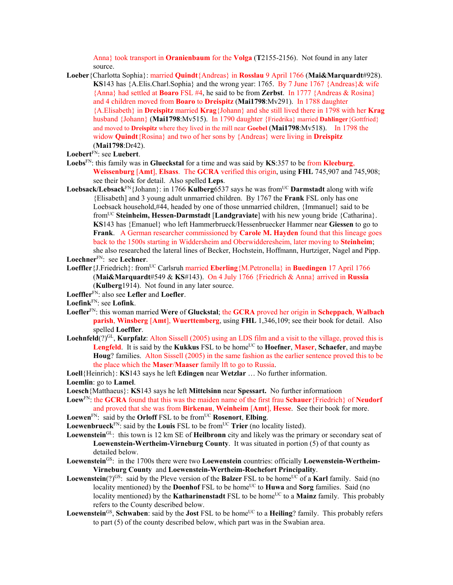Anna} took transport in **Oranienbaum** for the **Volga** (**T**2155-2156). Not found in any later source.

- **Loeber**{Charlotta Sophia}: married **Quindt**{Andreas} in **Rosslau** 9 April 1766 (**Mai&Marquardt**#928). **KS**143 has  ${A. Elis. Charl. Sophia}$  and the wrong year: 1765. By 7 June 1767  ${Andreas}$  wife {Anna} had settled at **Boaro** FSL #4, he said to be from **Zerbst**. In 1777 {Andreas & Rosina} and 4 children moved from **Boaro** to **Dreispitz** (**Mai1798**:Mv291). In 1788 daughter {A.Elisabeth} in **Dreispitz** married **Krag**{Johann} and she still lived there in 1798 with her **Krag** husband {Johann} (**Mai1798**:Mv515). In 1790 daughter {Friedrika} married **Dahlinger**{Gottfried} and moved to **Dreispitz** where they lived in the mill near **Goebel** (**Mai1798**:Mv518). In 1798 the widow **Quindt**{Rosina} and two of her sons by {Andreas} were living in **Dreispitz**  (**Mai1798**:Dr42).
- **Loebert**FN: see **Luebert**.
- **Loebs**FN: this family was in **Glueckstal** for a time and was said by **KS**:357 to be from **Kleeburg**, **Weissenburg** [**Amt**], **Elsass**.The **GCRA** verified this origin, using **FHL** 745,907 and 745,908; see their book for detail. Also spelled **Leps**.
- **Loebsack/Lebsack**FN{Johann}: in 1766 **Kulberg**6537 says he was fromUC **Darmstadt** along with wife {Elisabeth] and 3 young adult unmarried children. By 1767 the **Frank** FSL only has one Loebsack household,#44, headed by one of those unmarried children, {Immanuel} said to be fromUC **Steinheim, Hessen-Darmstadt** [**Landgraviate**] with his new young bride {Catharina}. **KS**143 has {Emanuel} who left Hammerbrueck/Hessenbruecker Hammer near **Giessen** to go to **Frank**. A German researcher commissioned by **Carole M. Hayden** found that this lineage goes back to the 1500s starting in Widdersheim and Oberwidderesheim, later moving to **Steinheim**; she also researched the lateral lines of Becker, Hochstein, Hoffmann, Hurtziger, Nagel and Pipp.
- **Loechner**FN: see **Lechner**.
- Loeffler {J.Friedrich}: from<sup>UC</sup> Carlsruh married **Eberling** {M.Petronella} in **Buedingen** 17 April 1766 (**Mai&Marquardt**#549 & **KS**#143). On 4 July 1766 {Friedrich & Anna} arrived in **Russia** (**Kulberg**1914). Not found in any later source.
- **Loeffler**FN: also see **Lefler** and **Loefler**.
- **Loefink**FN: see **Lofink**.
- **Loefler**FN: this woman married **Were** of **Gluckstal**; the **GCRA** proved her origin in **Scheppach**, **Walbach parish**, **Winsberg** [**Amt**], **Wuerttemberg**, using **FHL** 1,346,109; see their book for detail. Also spelled **Loeffler**.
- **Loehnfeld**(?)GL, **Kurpfalz**: Alton Sissell (2005) using an LDS film and a visit to the village, proved this is **Lengfeld**. It is said by the **Kukkus** FSL to be home<sup>UC</sup> to **Hoefner**, **Maser**, **Schaefer**, and maybe **Houg**? families. Alton Sissell (2005) in the same fashion as the earlier sentence proved this to be the place which the **Maser**/**Maaser** family lft to go to Russia.
- **Loell**{Heinrich}: **KS**143 says he left **Edingen** near **Wetzlar** … No further information.

**Loemlin**: go to **Lamel**.

- **Loesch**{Matthaeus}: **KS**143 says he left **Mittelsinn** near **Spessart.** No further informatioon
- **Loew**FN: the **GCRA** found that this was the maiden name of the first frau **Schauer**{Friedrich} of **Neudorf** and proved that she was from **Birkenau**, **Weinheim** [**Amt**], **Hesse**. See their book for more.
- **Loewen**FN: said by the **Orloff** FSL to be fromUC **Rosenort**, **Elbing**.
- Loewenbrueck<sup>FN</sup>: said by the Louis FSL to be from<sup>UC</sup> Trier (no locality listed).
- **Loewenstein**GL:this town is 12 km SE of **Heilbronn** city and likely was the primary or secondary seat of **Loewenstein-Wertheim-Virneburg County**. It was situated in portion (5) of that county as detailed below.
- **Loewenstein**GS: in the 1700s there were two **Loewenstein** countries: officially **Loewenstein-Wertheim-Virneburg County** and **Loewenstein-Wertheim-Rochefort Principality**.
- **Loewenstein**(?)<sup>GS</sup>: said by the Pleve version of the **Balzer** FSL to be home<sup>UC</sup> of a **Karl** family. Said (no locality mentioned) by the **Doenhof** FSL to be home<sup>UC</sup> to **Huwa** and **Sorg** families. Said (no locality mentioned) by the **Katharinenstadt** FSL to be home<sup>UC</sup> to a **Mainz** family. This probably refers to the County described below.
- **Loewenstein**<sup>GS</sup>, **Schwaben**: said by the **Jost** FSL to be home<sup>UC</sup> to a **Heiling**? family. This probably refers to part (5) of the county described below, which part was in the Swabian area.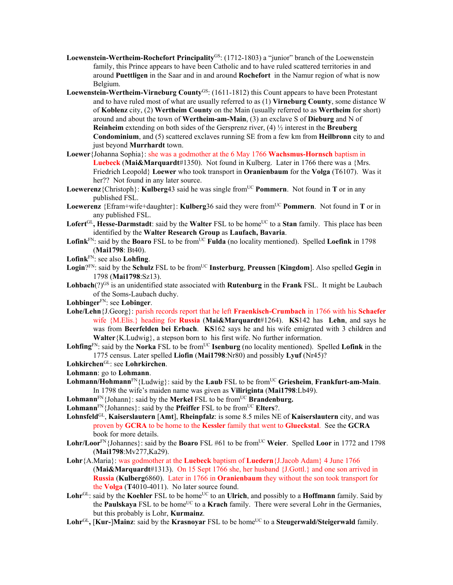- Loewenstein-Wertheim-Rochefort Principality<sup>GS</sup>: (1712-1803) a "junior" branch of the Loewenstein family, this Prince appears to have been Catholic and to have ruled scattered territories in and around **Puettligen** in the Saar and in and around **Rochefort** in the Namur region of what is now Belgium.
- **Loewenstein-Wertheim-Virneburg County**GS: (1611-1812) this Count appears to have been Protestant and to have ruled most of what are usually referred to as (1) **Virneburg County**, some distance W of **Koblenz** city, (2) **Wertheim County** on the Main (usually referred to as **Wertheim** for short) around and about the town of **Wertheim-am-Main**, (3) an exclave S of **Dieburg** and N of **Reinheim** extending on both sides of the Gersprenz river, (4) ½ interest in the **Breuberg Condominium**, and (5) scattered exclaves running SE from a few km from **Heilbronn** city to and just beyond **Murrhardt** town.
- **Loewer**{Johanna Sophia}: she was a godmother at the 6 May 1766 **Wachsmus-Hornsch** baptism in **Luebeck** (**Mai&Marquardt**#1350). Not found in Kulberg. Later in 1766 there was a {Mrs. Friedrich Leopold} **Loewer** who took transport in **Oranienbaum** for the **Volga** (T6107). Was it her?? Not found in any later source.
- **Loewerenz**{Christoph}: **Kulberg**43 said he was single fromUC **Pommern**. Not found in **T** or in any published FSL.
- **Loewerenz** {Efram+wife+daughter}: **Kulberg**36 said they were fromUC **Pommern**. Not found in **T** or in any published FSL.
- Lofert<sup>GL</sup>, Hesse-Darmstadt: said by the Walter FSL to be home<sup>UC</sup> to a Stan family. This place has been identified by the **Walter Research Group** as **Laufach, Bavaria**.
- Lofink<sup>FN</sup>: said by the **Boaro** FSL to be from<sup>UC</sup> **Fulda** (no locality mentioned). Spelled Loefink in 1798 (**Mai1798**: Bt40).
- **Lofink**FN: see also **Lohfing**.
- Login?<sup>FN</sup>: said by the **Schulz** FSL to be from<sup>UC</sup> Insterburg, Preussen [Kingdom]. Also spelled Gegin in 1798 (**Mai1798**:Sz13).
- **Lohbach**( $?$ <sup>GS</sup> is an unidentified state associated with **Rutenburg** in the **Frank** FSL. It might be Laubach of the Soms-Laubach duchy.

**Lohbinger**FN: see **Lobinger**.

- **Lohe/Lehn**{J.Georg}: parish records report that he left **Fraenkisch-Crumbach** in 1766 with his **Schaefer**  wife {M.Elis.} heading for **Russia** (**Mai&Marquardt**#1264). **KS**142 has **Lehn**, and says he was from **Beerfelden bei Erbach**. **KS**162 says he and his wife emigrated with 3 children and **Walter**{K.Ludwig}, a stepson born to his first wife. No further information.
- **Lohfing**<sup>FN</sup>: said by the **Norka** FSL to be from<sup>UC</sup> **Isenburg** (no locality mentioned). Spelled **Lofink** in the 1775 census. Later spelled **Liofin** (**Mai1798**:Nr80) and possibly **Lyuf** (Nr45)?
- **Lohkirchen**GL: see **Lohrkirchen**.

**Lohmann**: go to **Lohmann**.

- **Lohmann/Hohmann**<sup>FN</sup>{Ludwig}: said by the **Laub** FSL to be from<sup>UC</sup> Griesheim, Frankfurt-am-Main. In 1798 the wife's maiden name was given as **Viliriginta** (**Mai1798**:Lb49).
- **Lohmann**<sup>FN</sup>{Johann}: said by the **Merkel** FSL to be from<sup>UC</sup> **Brandenburg.**
- **Lohmann**<sup>FN{J</sup>ohannes}: said by the **Pfeiffer** FSL to be from<sup>UC</sup> **Elters**?.
- **Lohnsfeld**GL, **Kaiserslautern** [**Amt**], **Rheinpfalz**: is some 8.5 miles NE of **Kaiserslautern** city, and was proven by **GCRA** to be home to the **Kessler** family that went to **Glueckstal**. See the **GCRA** book for more details.
- Lohr/Loor<sup>FN</sup>{Johannes}: said by the **Boaro** FSL #61 to be from<sup>UC</sup> Weier. Spelled Loor in 1772 and 1798 (**Mai1798**:Mv277,Ka29).
- **Lohr**{A.Maria}: was godmother at the **Luebeck** baptism of **Luedern**{J.Jacob Adam} 4 June 1766 (**Mai&Marquardt**#1313). On 15 Sept 1766 she, her husband {J.Gottl.} and one son arrived in **Russia** (**Kulberg**6860). Later in 1766 in **Oranienbaum** they without the son took transport for the **Volga** (**T**4010-4011). No later source found.
- Lohr<sup>GL</sup>: said by the **Koehler** FSL to be home<sup>UC</sup> to an **Ulrich**, and possibly to a **Hoffmann** family. Said by the **Paulskaya** FSL to be home<sup>UC</sup> to a **Krach** family. There were several Lohr in the Germanies, but this probably is Lohr, **Kurmainz**.
- Lohr<sup>GL</sup>, **[Kur-]Mainz**: said by the **Krasnoyar** FSL to be home<sup>UC</sup> to a **Steugerwald/Steigerwald** family.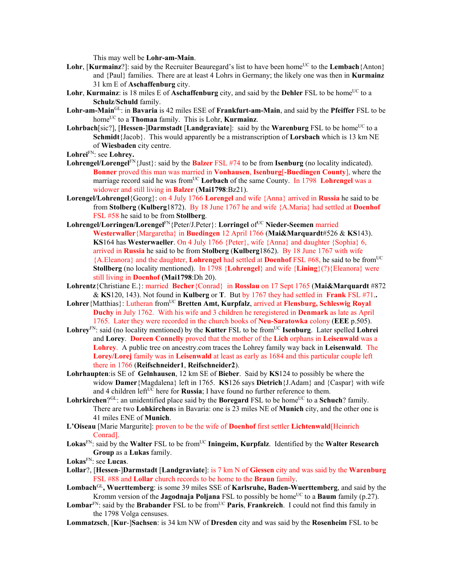This may well be **Lohr-am-Main**.

- Lohr, [Kurmainz?]: said by the Recruiter Beauregard's list to have been home<sup>UC</sup> to the Lembach {Anton} and {Paul} families. There are at least 4 Lohrs in Germany; the likely one was then in **Kurmainz** 31 km E of **Aschaffenburg** city.
- **Lohr, Kurmainz**: is 18 miles E of **Aschaffenburg** city, and said by the **Dehler** FSL to be home<sup>UC</sup> to a **Schulz**/**Schuld** family.
- **Lohr-am-Main**GL: in **Bavaria** is 42 miles ESE of **Frankfurt-am-Main**, and said by the **Pfeiffer** FSL to be homeUC to a **Thomaa** family. This is Lohr, **Kurmainz**.
- **Lohrbach**[sic?], [Hessen-]Darmstadt [Landgraviate]: said by the Warenburg FSL to be home<sup>UC</sup> to a **Schmidt**{Jacob}. This would apparently be a mistranscription of **Lorsbach** which is 13 km NE of **Wiesbaden** city centre.
- **Lohrei**FN: see **Lohrey.**
- **Lohrengel/Lorengel**FN{Just}: said by the **Balzer** FSL #74 to be from **Isenburg** (no locality indicated). **Bonner** proved this man was married in **Vonhausen**, **Isenburg**[**-Buedingen County**], where the marriage record said he was from<sup>UC</sup> Lorbach of the same County. In 1798 Lohrengel was a widower and still living in **Balzer** (**Mai1798**:Bz21).
- **Lorengel/Lohrengel**{Georg}: on 4 July 1766 **Lorengel** and wife {Anna} arrived in **Russia** he said to be from **Stolberg** (**Kulberg**1872). By 18 June 1767 he and wife {A.Maria} had settled at **Doenhof**  FSL #58 he said to be from **Stollberg**.
- **Lohrengel/Lorringen/Lorengel**FN{Peter/J.Peter}: **Lorringel** ofUC **Nieder-Seemen** married **Westerwaller**{Margaretha} in **Buedingen** 12 April 1766 (**Mai&Marquardt**#526 & **KS**143). **KS**164 has **Westerwaeller**. On 4 July 1766 {Peter}, wife {Anna} and daughter {Sophia} 6, arrived in **Russia** he said to be from **Stolberg** (**Kulberg**1862). By 18 June 1767 with wife {A.Eleanora} and the daughter, **Lohrengel** had settled at **Doenhof** FSL #68, he said to be fromUC **Stollberg** (no locality mentioned). In 1798 {**Lohrengel**} and wife {**Lining**}(?){Eleanora} were still living in **Doenhof (Mai1798**:Dh 20).
- **Lohrentz**{Christiane E.}: married **Becher**{Conrad} in **Rosslau** on 17 Sept 1765 (**Mai&Marquardt** #872 & **KS**120, 143). Not found in **Kulberg** or **T**. But by 1767 they had settled in **Frank** FSL #71.**.**
- Lohrer {Matthias}: Lutheran from<sup>UC</sup> **Bretten Amt, Kurpfalz**, arrived at **Flensburg, Schleswig Royal Duchy** in July 1762. With his wife and 3 children he reregistered in **Denmark** as late as April 1765. Later they were recorded in the church books of **Neu-Saratowka** colony (**EEE** p.505).
- $\mathbf{Lohrev}^{\text{FN}}$ : said (no locality mentioned) by the **Kutter** FSL to be from<sup>UC</sup> **Isenburg**. Later spelled **Lohrei** and **Lorey**. **Doreen Connelly** proved that the mother of the **Lich** orphans in **Leisenwald** was a **Lohrey**. A public tree on ancestry.com traces the Lohrey family way back in **Leisenwald**. The **Lorey/Lorej** family was in **Leisenwald** at least as early as 1684 and this particular couple left there in 1766 (**Reifschneider1**, **Reifschneider2**).
- **Lohrhaupten**:is SE of **Gelnhausen**, 12 km SE of **Bieber**. Said by **KS**124 to possibly be where the widow **Damer**{Magdalena} left in 1765. **KS**126 says **Dietrich**{J.Adam} and {Caspar} with wife and 4 children left $U<sup>C</sup>$  here for **Russia**; I have found no further reference to them.
- **Lohrkirchen**? $G<sup>L</sup>$ : an unidentified place said by the **Boregard** FSL to be home<sup>UC</sup> to a **Schuch**? family. There are two **Lohkirchen**s in Bavaria: one is 23 miles NE of **Munich** city, and the other one is 41 miles ENE of **Munich**.
- **L'Oiseau** [Marie Margurite]: proven to be the wife of **Doenhof** first settler **Lichtenwald**[Heinrich Conrad].
- Lokas<sup>FN</sup>: said by the Walter FSL to be from<sup>UC</sup> Iningeim, Kurpfalz. Identified by the Walter Research **Group** as a **Lukas** family.

- **Lollar**?, [**Hessen**-]**Darmstadt** [**Landgraviate**]: is 7 km N of **Giessen** city and was said by the **Warenburg** FSL #88 and **Lollar** church records to be home to the **Braun** family.
- **Lombach**GL**, Wuerttemberg**: is some 39 miles SSE of **Karlsruhe, Baden-Wuerttemberg**, and said by the Kromm version of the **Jagodnaja Poljana** FSL to possibly be home<sup>UC</sup> to a **Baum** family (p.27).
- Lombar<sup>FN</sup>: said by the **Brabander** FSL to be from<sup>UC</sup> **Paris**, **Frankreich**. I could not find this family in the 1798 Volga censuses.
- **Lommatzsch**, [**Kur**-]**Sachsen**: is 34 km NW of **Dresden** city and was said by the **Rosenheim** FSL to be

**Lokas**FN: see **Lucas**.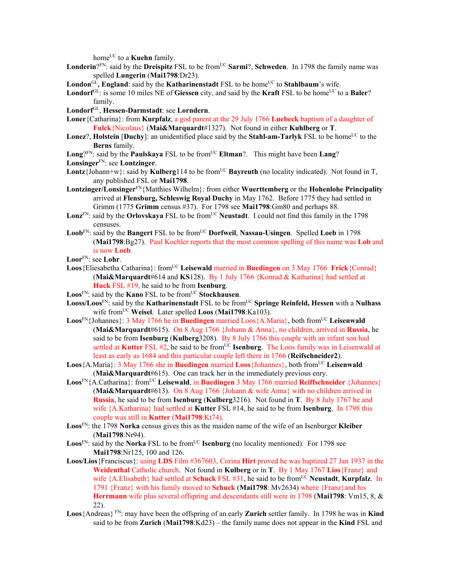home<sup>UC</sup> to a **Kuehn** family.

- Londerin?<sup>FN</sup>: said by the **Dreispitz** FSL to be from<sup>UC</sup> Sarmi?, Schweden. In 1798 the family name was spelled **Lungerin** (**Mai1798**:Dr23).
- London<sup>GL</sup>, England: said by the **Katharinenstadt** FSL to be home<sup>UC</sup> to **Stahlbaum**'s wife.
- **Londorf**<sup>GL</sup>: is some 10 miles NE of **Giessen** city, and said by the **Kraft** FSL to be home<sup>UC</sup> to a **Baler**? family.
- **Londorf**GL, **Hessen-Darmstadt**: see **Lorndern**.
- **Loner**{Catharina}: from **Kurpfalz**, a god parent at the 29 July 1766 **Luebeck** baptism of a daughter of **Fulck**{Nicolaus} (**Mai&Marquardt**#1327). Not found in either **Kuhlberg** or **T**.
- **Lonez**?, **Holstein [Duchy**]: an unidentified place said by the **Stahl-am-Tarlyk** FSL to be home<sup>UC</sup> to the **Berns** family.
- **Long**?<sup>FN</sup>: said by the **Paulskaya** FSL to be from<sup>UC</sup> **Eltman**?. This might have been **Lang**?

**Lonsinger**FN: see **Lontzinger**.

- **Lontz**{Johann+w}: said by **Kulberg**114 to be from<sup>UC</sup> **Bayreuth** (no locality indicated). Not found in T. any published FSL or **Mai1798**.
- **Lontzinger/Lonsinger**FN{Matthies Wilhelm}: from either **Wuerttemberg** or the **Hohenlohe Principality**  arrived at **Flensburg, Schleswig Royal Duchy** in May 1762. Before 1775 they had settled in Grimm (1775 **Grimm** census #37). For 1798 see **Mai1798**:Gm80 and perhaps 88.
- Lonz<sup>FN</sup>: said by the **Orlovskaya** FSL to be from<sup>UC</sup> Neustadt. I could not find this family in the 1798 censuses.
- Loob<sup>FN</sup>: said by the **Bangert** FSL to be from<sup>UC</sup> Dorfweil, Nassau-Usingen. Spelled Loeb in 1798 (**Mai1798**:Bg27). Paul Koehler reports that the most common spelling of this name was **Lob** and is now **Loeb**.
- **Loor**FN: see **Lohr**.
- Loos {Eliesabetha Catharina}: from<sup>UC</sup> Leisewald married in **Buedingen** on 3 May 1766 **Frick** {Conrad} (**Mai&Marquardt**#614 and **KS**128). By 1 July 1766 {Konrad & Katharina} had settled at **Huck** FSL #19, he said to be from **Isenburg**.
- **Loos**FN: said by the **Kano** FSL to be fromUC **Stockhausen**.
- Looss/Loos<sup>FN</sup>: said by the **Katharinenstadt** FSL to be from<sup>UC</sup> **Springe Reinfeld, Hessen** with a **Nulhass** wife fromUC **Weisel**. Later spelled **Loos** (**Mai1798**:Ka103).
- **Loos**FN{Johannes}: 3 May 1766 he in **Buedingen** married Loos{A.Maria}, both fromUC **Leisenwald** (**Mai&Marquardt**#615). On 8 Aug 1766 {Johann & Anna}, no children, arrived in **Russia**, he said to be from **Isenburg** (**Kulberg**3208).By 8 July 1766 this couple with an infant son had settled at **Kutter** FSL #2, he said to be from<sup>UC</sup> **Isenburg**. The Loos family was in Leisenwald at least as early as 1684 and this particular couple left there in 1766 (**Reifschneider2**).
- **Loos** {A.Maria}: 3 May 1766 she in **Buedingen** married **Loos** {Johannes}, both from<sup>UC</sup> Leisenwald (**Mai&Marquardt**#615). One can track her in the immediately previous enry.
- **Loos**<sup>FN</sup>{A.Catharina}: from<sup>UC</sup> **Leisewald**, in **Buedingen** 3 May 1766 married **Reiffschneider** {Johannes} (**Mai&Marquardt**#613). On 8 Aug 1766 {Johann & wife Anna} with no children arrived in **Russia**, he said to be from **Isenburg** (**Kulberg**3216). Not found in **T**. By 8 July 1767 he and wife {A.Katharina} had settled at **Kutter** FSL #14, he said to be from **Isenburg**. In 1798 this couple was still in **Kutter** (**Mai1798**:Kt74).
- **Loos**FN: the 1798 **Norka** census gives this as the maiden name of the wife of an Isenburger **Kleiber** (**Mai1798**:Nr94).
- **Loos**<sup>FN</sup>: said by the **Norka** FSL to be from<sup>UC</sup> **Isenburg** (no locality mentioned). For 1798 see **Mai1798**:Nr125, 100 and 126.
- **Loos/Lios**{Franciscus}: using **LDS** Film #367603, Corina **Hirt** proved he was baptized 27 Jan 1937 in the **Weidenthal** Catholic church. Not found in **Kulberg** or in **T**. By 1 May 1767 **Lios**{Franz} and wife {A.Elisabeth} had settled at **Schuck** FSL #31, he said to be fromUC **Neustadt**, **Kurpfalz**. In 1791 {Franz} with his family moved to **Schuck** (**Mai1798**: Mv2634) where {Franz}and his **Herrmann** wife plus several offspring and descendants still were in 1798 (**Mai1798**: Vm15, 8, & 22).
- **Loos**{Andreas} FN: may have been the offspring of an early **Zurich** settler family. In 1798 he was in **Kind** said to be from **Zurich** (**Mai1798**:Kd23) – the family name does not appear in the **Kind** FSL and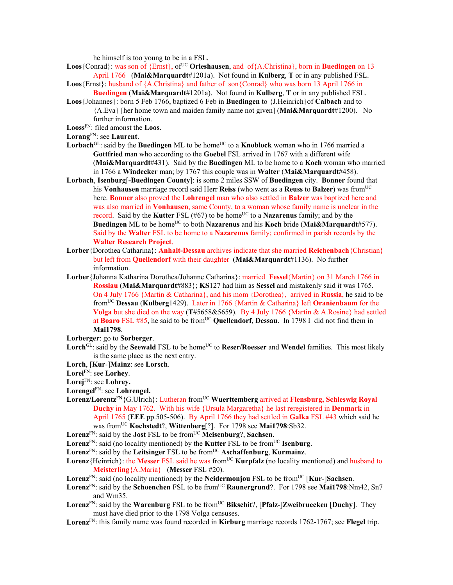he himself is too young to be in a FSL.

- Loos {Conrad}: was son of {Ernst}, of<sup>UC</sup> **Orleshausen**, and of{A.Christina}, born in **Buedingen** on 13 April 1766 (**Mai&Marquardt**#1201a). Not found in **Kulberg**, **T** or in any published FSL.
- **Loos**{Ernst}: husband of {A.Christina} and father of son{Conrad} who was born 13 April 1766 in **Buedingen** (**Mai&Marquardt**#1201a). Not found in **Kulberg**, **T** or in any published FSL.
- **Loos**{Johannes}: born 5 Feb 1766, baptized 6 Feb in **Buedingen** to {J.Heinrich}of **Calbach** and to {A.Eva} [her home town and maiden family name not given] (**Mai&Marquardt**#1200). No further information.
- **Looss**FN: filed amonst the **Loos**.
- **Lorang**FN: see **Laurent**.
- Lorbach<sup>GL</sup>: said by the **Buedingen** ML to be home<sup>UC</sup> to a **Knoblock** woman who in 1766 married a **Gottfried** man who according to the **Goebel** FSL arrived in 1767 with a different wife (**Mai&Marquardt**#431). Said by the **Buedingen** ML to be home to a **Koch** woman who married in 1766 a **Windecker** man; by 1767 this couple was in **Walter** (**Mai&Marquardt**#458).
- **Lorbach**, **Isenburg**[**-Buedingen County**]: is some 2 miles SSW of **Buedingen** city. **Bonner** found that his **Vonhausen** marriage record said Herr **Reiss** (who went as a **Reuss** to **Balzer**) was fromUC here. **Bonner** also proved the **Lohrengel** man who also settled in **Balzer** was baptized here and was also married in **Vonhausen**, same County, to a woman whose family name is unclear in the record. Said by the **Kutter** FSL (#67) to be home<sup>UC</sup> to a **Nazarenus** family; and by the **Buedingen** ML to be home<sup>UC</sup> to both **Nazarenus** and his **Koch** bride (**Mai&Marquardt**#577). Said by the **Walter** FSL to be home to a **Nazarenus** family; confirmed in parish records by the **Walter Research Project**.
- **Lorber**{Dorothea Catharina}: **Anhalt-Dessau** archives indicate that she married **Reichenbach**{Christian} but left from **Quellendorf** with their daughter (**Mai&Marquardt**#1136). No further information.
- **Lorber**{Johanna Katharina Dorothea/Johanne Catharina}: married **Fessel**{Martin} on 31 March 1766 in **Rosslau** (**Mai&Marquardt**#883}; **KS**127 had him as **Sessel** and mistakenly said it was 1765. On 4 July 1766 {Martin & Catharina}, and his mom {Dorothea}, arrived in **Russia**, he said to be fromUC **Dessau** (**Kulberg**1429).Later in 1766 {Martin & Catharina} left **Oranienbaum** for the **Volga** but she died on the way (**T**#5658&5659). By 4 July 1766 {Martin & A.Rosine} had settled at **Boaro** FSL #85, he said to be fromUC **Quellendorf**, **Dessau**.In 1798 I did not find them in **Mai1798**.
- **Lorberger**: go to **Sorberger**.
- Lorch<sup>GL</sup>: said by the **Seewald** FSL to be home<sup>UC</sup> to **Reser/Roesser** and **Wendel** families. This most likely is the same place as the next entry.
- **Lorch**, [**Kur**-]**Mainz**: see **Lorsch**.
- **Lorei**FN: see **Lorhey**.
- **Lorej**FN: see **Lohrey.**
- **Lorengel**FN: see **Lohrengel.**
- **Lorenz/Lorentz**FN{G.Ulrich}: Lutheran fromUC **Wuerttemberg** arrived at **Flensburg, Schleswig Royal Duchy** in May 1762. With his wife {Ursula Margaretha} he last reregistered in **Denmark** in April 1765 (**EEE** pp.505-506). By April 1766 they had settled in **Galka** FSL #43 which said he was fromUC **Kochstedt**?, **Wittenberg**[?]. For 1798 see **Mai1798**:Sb32.
- Lorenz<sup>FN</sup>: said by the **Jost** FSL to be from<sup>UC</sup> Meisenburg?, Sachsen.
- Lorenz<sup>FN</sup>: said (no locality mentioned) by the **Kutter** FSL to be from<sup>UC</sup> **Isenburg**.
- **Lorenz**FN: said by the **Leitsinger** FSL to be fromUC **Aschaffenburg**, **Kurmainz**.
- Lorenz{Heinrich}: the Messer FSL said he was from<sup>UC</sup> **Kurpfalz** (no locality mentioned) and husband to **Meisterling**{A.Maria} (**Messer** FSL #20).
- **Lorenz**FN: said (no locality mentioned) by the **Neidermonjou** FSL to be fromUC [**Kur**-]**Sachsen**.
- **Lorenz**<sup>FN</sup>: said by the **Schoenchen** FSL to be from<sup>UC</sup> **Raunergrund**?. For 1798 see **Mai1798**:Nm42, Sn7 and Wm35.
- Lorenz<sup>FN</sup>: said by the **Warenburg** FSL to be from<sup>UC</sup> Bikschit?, [Pfalz-]Zweibruecken [Duchy]. They must have died prior to the 1798 Volga censuses.
- **Lorenz**FN: this family name was found recorded in **Kirburg** marriage records 1762-1767; see **Flegel** trip.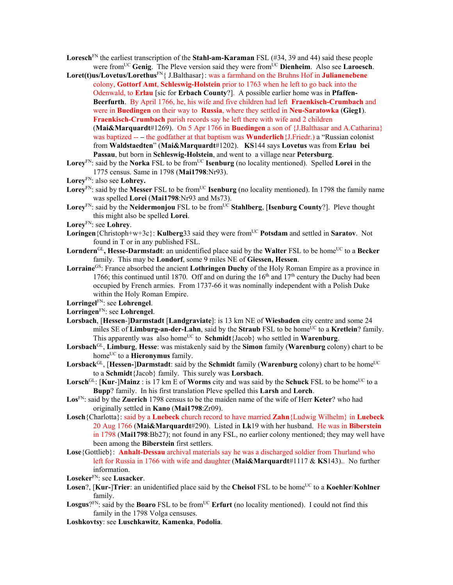- **Loresch**FN the earliest transcription of the **Stahl-am-Karaman** FSL (#34, 39 and 44) said these people were from<sup>UC</sup> Genig. The Pleve version said they were from<sup>UC</sup> Dienheim. Also see Laroesch.
- **Loret(t)us/Lovetus/Lorethus**FN{ J.Balthasar}: was a farmhand on the Bruhns Hof in **Julianenebene** colony, **Gottorf Amt**, **Schleswig-Holstein** prior to 1763 when he left to go back into the Odenwald, to **Erlau** [sic for **Erbach County**?]. A possible earlier home was in **Pfaffen-Beerfurth**. By April 1766, he, his wife and five children had left **Fraenkisch-Crumbach** and were in **Buedingen** on their way to **Russia**, where they settled in **Neu-Saratowka** (**Gieg1**). **Fraenkisch-Crumbach** parish records say he left there with wife and 2 children (**Mai&Marquardt**#1269). On 5 Apr 1766 in **Buedingen** a son of {J.Balthasar and A.Catharina} was baptized -- **–** the godfather at that baptism was **Wunderlich**{J.Friedr.) a "Russian colonist from **Waldstaedten**" (**Mai&Marquardt**#1202). **KS**144 says **Lovetus** was from **Erlau bei Passau**, but born in **Schleswig-Holstein**, and went to a village near **Petersburg**.
- Lorey<sup>FN</sup>: said by the **Norka** FSL to be from<sup>UC</sup> **Isenburg** (no locality mentioned). Spelled **Lorei** in the 1775 census. Same in 1798 (**Mai1798**:Nr93).
- **Lorey**FN: also see **Lohrey.**
- **Lorey**<sup>FN</sup>: said by the **Messer** FSL to be from<sup>UC</sup> **Isenburg** (no locality mentioned). In 1798 the family name was spelled **Lorei** (**Mai1798**:Nr93 and Ms73).
- Lorey<sup>FN</sup>: said by the **Neidermonjou** FSL to be from<sup>UC</sup> Stahlberg, [Isenburg County?]. Pleve thought this might also be spelled **Lorei**.
- **Lorey**FN: see **Lohrey**.
- Loringen<sup>{</sup>Christoph+w+3c}: **Kulberg**33 said they were from<sup>UC</sup> Potsdam and settled in **Saratov**. Not found in T or in any published FSL.
- Lorndern<sup>GL</sup>, Hesse-Darmstadt: an unidentified place said by the Walter FSL to be home<sup>UC</sup> to a Becker family. This may be **Londorf**, some 9 miles NE of **Giessen, Hessen**.
- **Lorraine**GS: France absorbed the ancient **Lothringen Duchy** of the Holy Roman Empire as a province in 1766; this continued until 1870. Off and on during the  $16<sup>th</sup>$  and  $17<sup>th</sup>$  century the Duchy had been occupied by French armies. From 1737-66 it was nominally independent with a Polish Duke within the Holy Roman Empire.
- **Lorringel**FN: see **Lohrengel**.
- **Lorringen**FN: see **Lohrengel**.
- **Lorsbach**, [**Hessen**-]**Darmstadt** [**Landgraviate**]: is 13 km NE of **Wiesbaden** city centre and some 24 miles SE of **Limburg-an-der-Lahn**, said by the **Straub** FSL to be home<sup>UC</sup> to a **Kretlein**? family. This apparently was also home<sup>UC</sup> to **Schmidt**{Jacob} who settled in **Warenburg**.
- **Lorsbach**GL, **Limburg**, **Hesse**: was mistakenly said by the **Simon** family (**Warenburg** colony) chart to be home<sup>UC</sup> to a **Hieronymus** family.
- **Lorsback**<sup>GL</sup>, [**Hessen-**]Darmstadt: said by the **Schmidt** family (**Warenburg** colony) chart to be home<sup>UC</sup> to a **Schmidt**{Jacob} family. This surely was **Lorsbach**.
- **Lorsch**<sup>GL</sup>:  $\text{Kur-}\text{Mainz}$ : is 17 km E of **Worms** city and was said by the **Schuck** FSL to be home<sup>UC</sup> to a **Bupp**? family. In his first translation Pleve spelled this **Larsh** and **Lorch**.
- **Los**FN: said by the **Zuerich** 1798 census to be the maiden name of the wife of Herr **Keter**? who had originally settled in **Kano** (**Mai1798**:Zr09).
- **Losch**{Charlotta}: said by a **Luebeck** church record to have married **Zahn**{Ludwig Wilhelm} in **Luebeck**  20 Aug 1766 (**Mai&Marquardt**#290). Listed in **Lk**19 with her husband. He was in **Biberstein** in 1798 (**Mai1798**:Bb27); not found in any FSL, no earlier colony mentioned; they may well have been among the **Biberstein** first settlers.
- **Lose**{Gottlieb}: **Anhalt-Dessau** archival materials say he was a discharged soldier from Thurland who left for Russia in 1766 with wife and daughter (**Mai&Marquardt**#1117 & **KS**143).. No further information.
- **Loseker**FN: see **Lusacker**.
- **Losen**?, [**Kur-**]**Trier**: an unidentified place said by the **Cheisol** FSL to be home<sup>UC</sup> to a **Koehler/Kohlner** family.
- **Losgus**? $F_N$ : said by the **Boaro** FSL to be from<sup>UC</sup> **Erfurt** (no locality mentioned). I could not find this family in the 1798 Volga censuses.
- **Loshkovtsy**: see **Luschkawitz**, **Kamenka**, **Podolia**.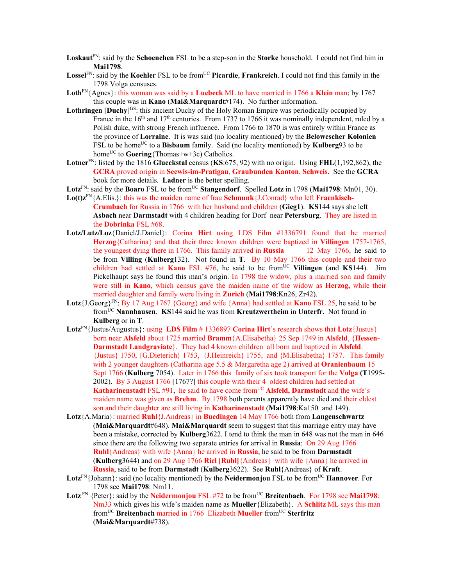- **Loskaut**FN: said by the **Schoenchen** FSL to be a step-son in the **Storke** household. I could not find him in **Mai1798**.
- **Lossel**FN: said by the **Koehler** FSL to be fromUC **Picardie**, **Frankreich**. I could not find this family in the 1798 Volga censuses.
- **Loth**FN{Agnes}: this woman was said by a **Luebeck** ML to have married in 1766 a **Klein** man; by 1767 this couple was in **Kano** (**Mai&Marquardt**#174). No further information.
- Lothringen [Duchy]<sup>GS</sup>: this ancient Duchy of the Holy Roman Empire was periodically occupied by France in the  $16<sup>th</sup>$  and  $17<sup>th</sup>$  centuries. From 1737 to 1766 it was nominally independent, ruled by a Polish duke, with strong French influence. From 1766 to 1870 is was entirely within France as the province of **Lorraine**. It is was said (no locality mentioned) by the **Belowescher Kolonien** FSL to be home<sup>UC</sup> to a **Bisbaum** family. Said (no locality mentioned) by **Kulberg**93 to be home<sup>UC</sup> to **Goering**{Thomas+w+3c) Catholics.
- **Lotner**FN: listed by the 1816 **Glueckstal** census (**KS**:675, 92) with no origin. Using **FHL**(1,192,862), the **GCRA** proved origin in **Seewis-im-Pratigau**, **Graubunden Kanton**, **Schweis**. See the **GCRA** book for more details. **Ladner** is the better spelling.
- Lotz<sup>FN</sup>: said by the **Boaro** FSL to be from<sup>UC</sup> Stangendorf. Spelled Lotz in 1798 (Mai1798: Mn01, 30).
- **Lo(t)z**FN{A.Elis.}: this was the maiden name of frau **Schmunk**{J.Conrad} who left **Fraenkisch-Crumbach** for Russia in 1766 with her husband and children (**Gieg1**). **KS**144 says she left **Asbach** near **Darmstadt** with 4 children heading for Dorf near **Petersburg**. They are listed in the **Dobrinka** FSL #68.
- **Lotz/Lutz/Loz**{Daniel/J.Daniel}: Corina **Hirt** using LDS Film #1336791 found that he married **Herzog**{Catharina} and that their three known children were baptized in **Villingen** 1757-1765, the youngest dying there in 1766. This family arrived in **Russia** 12 May 1766, he said to be from **Villing** (**Kulberg**132). Not found in **T**. By 10 May 1766 this couple and their two children had settled at **Kano** FSL #76, he said to be from<sup>UC</sup> Villingen (and **KS**144). Jim Pickelhaupt says he found this man's origin. In 1798 the widow, plus a married son and family were still in **Kano**, which census gave the maiden name of the widow as **Herzog,** while their married daughter and family were living in **Zurich** (**Mai1798**:Kn26, Zr42).
- **Lotz**{J.Georg}<sup>FN</sup>: By 17 Aug 1767 {Georg} and wife {Anna} had settled at **Kano** FSL 25, he said to be fromUC **Nannhausen**. **KS**144 said he was from **Kreutzwertheim** in **Unterfr.** Not found in **Kulberg** or in **T**.
- **Lotz**FN{Justus/Augustus}: using **LDS Film** # 1336897 **Corina Hirt**'s research shows that **Lotz**{Justus} born near **Alsfeld** about 1725 married **Bramm**{A.Elisabetha} 25 Sep 1749 in **Alsfeld**, {**Hessen-Darmstadt Landgraviate**}. They had 4 known children all born and baptized in **Alsfeld**: {Justus} 1750, {G.Dieterich} 1753, {J.Heinreich} 1755, and {M.Elisabetha} 1757.This family with 2 younger daughters (Catharina age 5.5 & Margaretha age 2) arrived at **Oranienbaum** 15 Sept 1766 (**Kulberg** 7054). Later in 1766 this family of six took transport for the **Volga (T**1995- 2002). By 3 August 1766 [1767?] this couple with their 4 oldest children had settled at **Katharinenstadt** FSL #91, he said to have come from<sup>UC</sup> Alsfeld, Darmstadt and the wife's maiden name was given as **Brehm**. By 1798 both parents apparently have died and their eldest son and their daughter are still living in **Katharinenstadt** (**Mai1798**:Ka150 and 149).
- **Lotz**{A.Maria}: married **Ruhl**{J.Andreas} in **Buedingen** 14 May 1766 both from **Langenschwartz**  (**Mai&Marquardt**#648). **Mai&Marquardt** seem to suggest that this marriage entry may have been a mistake, corrected by **Kulberg**3622. I tend to think the man in 648 was not the man in 646 since there are the following two separate entries for arrival in **Russia**: On 29 Aug 1766 **Ruhl**{Andreas} with wife {Anna} he arrived in **Russia**, he said to be from **Darmstadt**  (**Kulberg**3644) and on 29 Aug 1766 **Riel [Ruhl]**{Andreas} with wife {Anna} he arrived in **Russia**, said to be from **Darmstadt** (**Kulberg**3622). See **Ruhl**{Andreas} of **Kraft**.
- **Lotz**<sup>FN</sup>{Johann}: said (no locality mentioned) by the **Neidermonjou** FSL to be from<sup>UC</sup> **Hannover**. For 1798 see **Mai1798**: Nm11.
- Lotz<sup>FN</sup> {Peter}: said by the **Neidermonjou** FSL #72 to be from<sup>UC</sup> **Breitenbach**. For 1798 see **Mai1798**: Nm33 which gives his wife's maiden name as **Mueller**{Elizabeth}. A **Schlitz** ML says this man fromUC **Breitenbach** married in 1766 Elizabeth **Mueller** fromUC **Sterfritz** (**Mai&Marquardt**#738).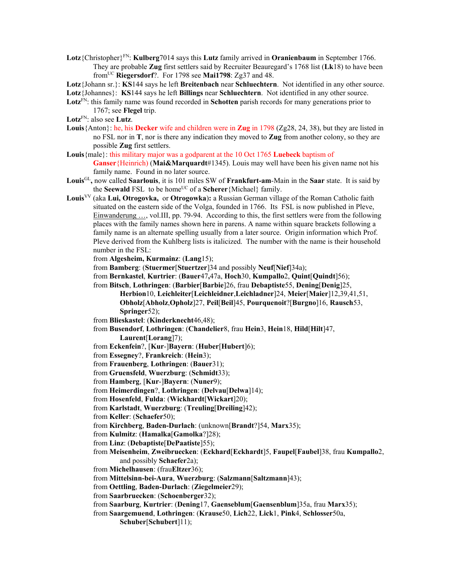- **Lotz**{Christopher}FN: **Kulberg**7014 says this **Lutz** family arrived in **Oranienbaum** in September 1766. They are probable **Zug** first settlers said by Recruiter Beauregard's 1768 list (**Lk**18) to have been fromUC **Riegersdorf**?. For 1798 see **Mai1798**: Zg37 and 48.
- **Lotz**{Johann sr.}: **KS**144 says he left **Breitenbach** near **Schluechtern**. Not identified in any other source.

**Lotz**{Johannes}: **KS**144 says he left **Billings** near **Schluechtern**. Not identified in any other source.

- **Lotz**FN: this family name was found recorded in **Schotten** parish records for many generations prior to 1767; see **Flegel** trip.
- **Lotz**FN: also see **Lutz**.
- **Louis**{Anton}: he, his **Decker** wife and children were in **Zug** in 1798 (Zg28, 24, 38), but they are listed in no FSL nor in **T**, nor is there any indication they moved to **Zug** from another colony, so they are possible **Zug** first settlers.
- **Louis**{male}: this military major was a godparent at the 10 Oct 1765 **Luebeck** baptism of **Ganser**{Heinrich) (**Mai&Marquardt**#1345). Louis may well have been his given name not his family name. Found in no later source.
- **Louis**GL**,** now called **Saarlouis**, it is 101 miles SW of **Frankfurt-am**-Main in the **Saar** state. It is said by the **Seewald** FSL to be home<sup>UC</sup> of a **Scherer**{Michael} family.
- **Louis**VV (aka **Lui, Otrogovka,** or **Otrogowka**)**:** a Russian German village of the Roman Catholic faith situated on the eastern side of the Volga, founded in 1766. Its FSL is now published in Pleve, Einwanderung …, vol.III, pp. 79-94. According to this, the first settlers were from the following places with the family names shown here in parens. A name within square brackets following a family name is an alternate spelling usually from a later source. Origin information which Prof. Pleve derived from the Kuhlberg lists is italicized. The number with the name is their household number in the FSL:
	- from **Algesheim, Kurmainz**: (**Lang**15);
	- from **Bamberg**: (**Stuermer**[**Stuertzer**]34 and possibly **Neuf**[**Nief**]34a);
	- from **Bernkastel**, **Kurtrier**: (**Bauer**47**,**47a, **Hoch**30, **Kumpallo**2, **Quint**[**Quindt**]56);
	- from **Bitsch**, **Lothringen**: (**Barbier**[**Barbie**]26, frau **Debaptiste**55, **Dening**[**Denig**]25, **Herbion**10, **Leichleiter**[**Leichleidner**,**Leichladner**]24, **Meier**[**Maier**]12,39,41,51, **Obholz**[**Abholz**,**Opholz**]27, **Peil**[**Beil**]45, **Pourquenoit**?[**Burgno**]16, **Rausch**53, **Springer**52);
	- from **Blieskastel**: (**Kinderknecht**46,48);
	- from **Busendorf**, **Lothringen**: (**Chandelier**8, frau **Hein**3, **Hein**18, **Hild**[**Hilt**]47,

**Laurent**[**Lorang**]7);

- from **Eckenfein**?, [**Kur**-]**Bayern**: (**Huber**[**Hubert**]6);
- from **Essegney**?, **Frankreich**: (**Hein**3);
- from **Frauenberg**, **Lothringen**: (**Bauer**31);
- from **Gruensfeld**, **Wuerzburg**: (**Schmidt**33);
- from **Hamberg**, [**Kur**-]**Bayern**: (**Nuner**9);
- from **Heimerdingen**?, **Lothringen**: (**Delvau**[**Delwa**]14);
- from **Hosenfeld**, **Fulda**: (**Wickhardt**[**Wickart**]20);
- from **Karlstadt**, **Wuerzburg**: (**Treuling**[**Dreiling**]42);
- from **Keller**: (**Schaefer**50);
- from **Kirchberg**, **Baden-Durlach**: (unknown[**Brandt**?]54, **Marx**35);
- from **Kulmitz**: (**Hamalka**[**Gamolka**?]28);
- from **Linz**: (**Debaptiste**[**DePaatiste**]55);
- from **Meisenheim**, **Zweibruecken**: (**Eckhard**[**Eckhardt**]5, **Faupel**[**Faubel**]38, frau **Kumpallo**2, and possibly **Schaefer**2a);
- from **Michelhausen**: (frau**Eltzer**36);
- from **Mittelsinn-bei-Aura**, **Wuerzburg**: (**Salzmann**[**Saltzmann**]43);
- from **Oettling**, **Baden-Durlach**: (**Ziegelmeier**29);
- from **Saarbruecken**: (**Schoenberger**32);
- from **Saarburg**, **Kurtrier**: (**Dening**17, **Gaenseblum**[**Gaensenblum**]35a, frau **Marx**35);
- from **Saargemuend**, **Lothringen**: (**Krause**50, **Lich**22, **Lick**1, **Pink**4, **Schlosser**50a,
	- **Schuber**[**Schubert**]11);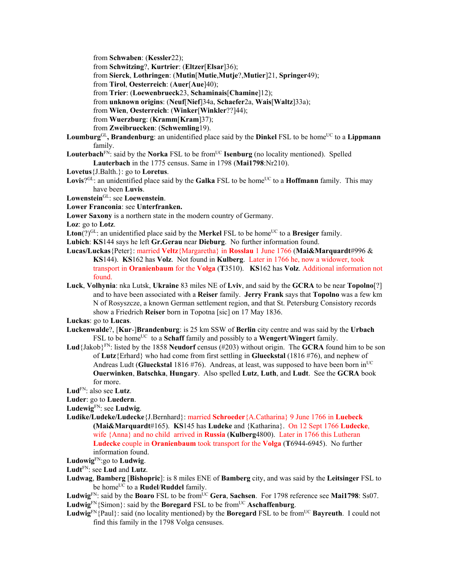from **Schwaben**: (**Kessler**22);

from **Schwitzing**?, **Kurtrier**: (**Eltzer**[**Elsar**]36);

from **Sierck**, **Lothringen**: (**Mutin**[**Mutie**,**Mutje**?,**Mutier**]21, **Springer**49);

from **Tirol**, **Oesterreich**: (**Auer**[**Aue**]40);

from **Trier**: (**Loewenbrueck**23, **Schaminais**[**Chamine**]12);

from **unknown origins**: (**Neuf**[**Nief**]34a, **Schaefer**2a, **Wais**[**Waltz**]33a);

from **Wien**, **Oesterreich**: (**Winker**[**Winkler**??]44);

from **Wuerzburg**: (**Kramm**[**Kram**]37);

from **Zweibruecken**: (**Schwemling**19).

Loumburg<sup>GL</sup>, Brandenburg: an unidentified place said by the Dinkel FSL to be home<sup>UC</sup> to a Lippmann family.

**Louterbach**<sup>FN</sup>: said by the **Norka** FSL to be from<sup>UC</sup> **Isenburg** (no locality mentioned). Spelled **Lauterbach** in the 1775 census. Same in 1798 (**Mai1798**:Nr210).

- **Lovetus**{J.Balth.}: go to **Loretus**.
- **Lovis**? $G<sup>L</sup>$ : an unidentified place said by the **Galka** FSL to be home<sup>UC</sup> to a **Hoffmann** family. This may have been **Luvis**.

**Lowenstein**GL: see **Loewenstein**.

**Lower Franconia**: see **Unterfranken.** 

**Lower Saxony** is a northern state in the modern country of Germany.

**Loz**: go to **Lotz**.

**Lton**(?)<sup>GL</sup>: an unidentified place said by the **Merkel** FSL to be home<sup>UC</sup> to a **Bresiger** family.

- **Lubich**: **KS**144 says he left **Gr.Gerau** near **Dieburg**. No further information found.
- **Lucas/Luckas**{Peter}: married **Veltz**{Margaretha} in **Rosslau** 1 June 1766 (**Mai&Marquardt**#996 & **KS**144). **KS**162 has **Volz**. Not found in **Kulberg**. Later in 1766 he, now a widower, took transport in **Oranienbaum** for the **Volga** (**T**3510). **KS**162 has **Volz**. Additional information not found.
- **Luck**, **Volhynia**: nka Lutsk, **Ukraine** 83 miles NE of **Lviv**, and said by the **GCRA** to be near **Topolno**[?] and to have been associated with a **Reiser** family. **Jerry Frank** says that **Topolno** was a few km N of Rosyszcze, a known German settlement region, and that St. Petersburg Consistory records show a Friedrich **Reiser** born in Topotna [sic] on 17 May 1836.

**Luckas**: go to **Lucas**.

- **Luckenwalde**?, [**Kur**-]**Brandenburg**: is 25 km SSW of **Berlin** city centre and was said by the **Urbach** FSL to be home<sup>UC</sup> to a **Schaff** family and possibly to a **Wengert/Wingert** family.
- **Lud**{Jakob}FN: listed by the 1858 **Neudorf** census (#203) without origin. The **GCRA** found him to be son of **Lutz**{Erhard} who had come from first settling in **Glueckstal** (1816 #76), and nephew of Andreas Ludt (Glueckstal 1816 #76). Andreas, at least, was supposed to have been born in<sup>UC</sup> **Ouerwinken**, **Batschka**, **Hungary**. Also spelled **Lutz**, **Luth**, and **Ludt**. See the **GCRA** book for more.

**Lud**FN: also see **Lutz**.

**Luder**: go to **Luedern**.

**Ludewig**FN: see **Ludwig**.

**Ludike/Ludeke/Ludecke**{J.Bernhard}: married **Schroeder**{A.Catharina} 9 June 1766 in **Luebeck (Mai&Marquardt**#165). **KS**145 has **Ludeke** and {Katharina}. On 12 Sept 1766 **Ludecke**, wife {Anna} and no child arrived in **Russia** (**Kulberg**4800). Later in 1766 this Lutheran **Ludecke** couple in **Oranienbaum** took transport for the **Volga** (**T**6944-6945). No further information found.

**Ludowig**FN:go to **Ludwig**.

**Ludt**FN: see **Lud** and **Lutz**.

**Ludwag**, **Bamberg** [**Bishopric**]: is 8 miles ENE of **Bamberg** city, and was said by the **Leitsinger** FSL to be home<sup>UC</sup> to a **Rudel/Ruddel** family.

Ludwig<sup>FN</sup>: said by the **Boaro** FSL to be from<sup>UC</sup> **Gera**, **Sachsen**. For 1798 reference see **Mai1798**: Ss07. **Ludwig**<sup>FN</sup>{Simon}: said by the **Boregard** FSL to be from<sup>UC</sup> **Aschaffenburg**.

**Ludwig**FN{Paul}: said (no locality mentioned) by the **Boregard** FSL to be fromUC **Bayreuth**. I could not find this family in the 1798 Volga censuses.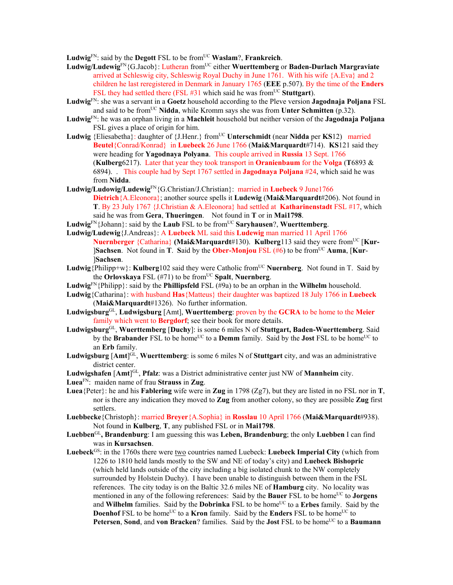**Ludwig**<sup>FN</sup>: said by the **Degott** FSL to be from<sup>UC</sup> **Waslam**?, **Frankreich**.

- Ludwig/Ludewig<sup>FN</sup>{G.Jacob}: Lutheran from<sup>UC</sup> either Wuerttemberg or Baden-Durlach Margraviate arrived at Schleswig city, Schleswig Royal Duchy in June 1761. With his wife {A.Eva} and 2 children he last reregistered in Denmark in January 1765 (**EEE** p.507). By the time of the **Enders** FSL they had settled there (FSL #31 which said he was from<sup>UC</sup> Stuttgart).
- **Ludwig**FN: she was a servant in a **Goetz** household according to the Pleve version **Jagodnaja Poljana** FSL and said to be from<sup>UC</sup> Nidda, while Kromm says she was from **Unter Schmitten** (p.32).
- **Ludwig**FN: he was an orphan living in a **Machleit** household but neither version of the **Jagodnaja Poljana**  FSL gives a place of origin for him.
- **Ludwig** {Eliesabetha}: daughter of {J.Henr.} fromUC **Unterschmidt** (near **Nidda** per **KS**12) married **Beutel**{Conrad/Konrad} in **Luebeck** 26 June 1766 (**Mai&Marquardt**#714). **KS**121 said they were heading for **Yagodnaya Polyana**. This couple arrived in **Russia** 13 Sept. 1766 (**Kulberg**6217). Later that year they took transport in **Oranienbaum** for the **Volga** (**T**6893 & 6894). . This couple had by Sept 1767 settled in **Jagodnaya Poljana** #24, which said he was from **Nidda**.
- **Ludwig/Ludowig/Ludewig**FN{G.Christian/J.Christian}: married in **Luebeck** 9 June1766 **Dietrich**{A.Eleonora}; another source spells it **Ludewig** (**Mai&Marquardt**#206). Not found in **T**. By 23 July 1767 {J.Christian & A.Eleonora} had settled at **Katharinenstadt** FSL #17, which said he was from **Gera**, **Thueringen**. Not found in **T** or in **Mai1798**.
- **Ludwig**FN{Johann}: said by the **Laub** FSL to be fromUC **Saryhausen**?, **Wuerttemberg**.
- **Ludwig/Ludewig**{J.Andreas}: A **Luebeck** ML said this **Ludewig** man married 11 April 1766 **Nuernberger** {Catharina} **(Mai&Marquardt**#130). **Kulberg**113 said they were from<sup>UC</sup> [Kur-**Sachsen**. Not found in **T**. Said by the **Ober-Monjou** FSL (#6) to be from<sup>UC</sup> Auma, [Kur-]**Sachsen**.
- **Ludwig**  $\{Philipp+w\}$ : **Kulberg**102 said they were Catholic from<sup>UC</sup> **Nuernberg**. Not found in T. Said by the **Orlovskaya** FSL  $(\#71)$  to be from<sup>UC</sup> Spalt, Nuernberg.
- **Ludwig**<sup>FN</sup>{Philipp}: said by the **Phillipsfeld** FSL ( $#9a$ ) to be an orphan in the **Wilhelm** household.
- **Ludwig**{Catharina}: with husband **Has**{Matteus} their daughter was baptized 18 July 1766 in **Luebeck** (**Mai&Marquardt**#1326). No further information.
- **Ludwigsburg**GL, **Ludwigsburg** [Amt], **Wuerttemberg**: proven by the **GCRA** to be home to the **Meier** family which went to **Bergdorf**; see their book for more details.
- **Ludwigsburg**GL, **Wuerttemberg** [**Duchy**]: is some 6 miles N of **Stuttgart, Baden-Wuerttemberg**. Said by the **Brabander** FSL to be home<sup>UC</sup> to a **Demm** family. Said by the **Jost** FSL to be home<sup>UC</sup> to an **Erb** family.
- **Ludwigsburg** [**Amt**] GL, **Wuerttemberg**: is some 6 miles N of **Stuttgart** city, and was an administrative district center.
- **Ludwigshafen** [**Amt**] GL, **Pfalz**: was a District administrative center just NW of **Mannheim** city.
- **Luea**FN: maiden name of frau **Strauss** in **Zug**.
- **Luea**{Peter}: he and his **Fablering** wife were in **Zug** in 1798 (Zg7), but they are listed in no FSL nor in **T**, nor is there any indication they moved to **Zug** from another colony, so they are possible **Zug** first settlers.
- **Luebbecke**{Christoph}: married **Breyer**{A.Sophia} in **Rosslau** 10 April 1766 (**Mai&Marquardt**#938). Not found in **Kulberg**, **T**, any published FSL or in **Mai1798**.
- **Luebben**GL**, Brandenburg**: I am guessing this was **Leben, Brandenburg**; the only **Luebben** I can find was in **Kursachsen**.
- **Luebeck**GS: in the 1760s there were two countries named Luebeck: **Luebeck Imperial City** (which from 1226 to 1810 held lands mostly to the SW and NE of today's city) and **Luebeck Bishopric** (which held lands outside of the city including a big isolated chunk to the NW completely surrounded by Holstein Duchy). I have been unable to distinguish between them in the FSL references. The city today is on the Baltic 32.6 miles NE of **Hamburg** city. No locality was mentioned in any of the following references: Said by the **Bauer** FSL to be home<sup>UC</sup> to **Jorgens** and **Wilhelm** families. Said by the **Dobrinka** FSL to be home<sup>UC</sup> to a **Erbes** family. Said by the **Doenhof** FSL to be home<sup>UC</sup> to a **Kron** family. Said by the **Enders** FSL to be home<sup>UC</sup> to **Petersen, Sond, and von Bracken**? families. Said by the **Jost** FSL to be home<sup>UC</sup> to a **Baumann**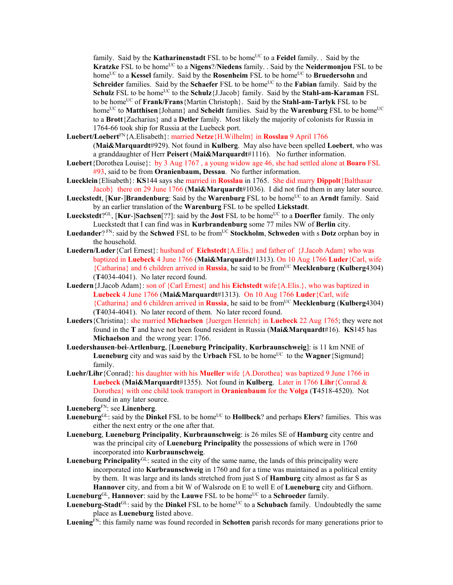family. Said by the **Katharinenstadt** FSL to be home<sup>UC</sup> to a **Feidel** family. . Said by the **Kratzke** FSL to be home<sup>UC</sup> to a **Nigens**?/**Niedens** family. . Said by the **Neidermonjou** FSL to be home<sup>UC</sup> to a **Kessel** family. Said by the **Rosenheim** FSL to be home<sup>UC</sup> to **Bruedersohn** and **Schreider** families. Said by the **Schaefer** FSL to be home<sup>UC</sup> to the **Fabian** family. Said by the **Schulz** FSL to be home<sup>UC</sup> to the **Schulz**{J.Jacob} family. Said by the **Stahl-am-Karaman** FSL to be homeUC of **Frank/Frans**{Martin Christoph}. Said by the **Stahl-am-Tarlyk** FSL to be home<sup>UC</sup> to **Matthisen**{Johann} and **Scheidt** families. Said by the **Warenburg** FSL to be home<sup>UC</sup> to a **Brott**{Zacharius} and a **Detler** family. Most likely the majority of colonists for Russia in 1764-66 took ship for Russia at the Luebeck port.

- **Luebert/Loebert**FN{A.Elisabeth}: married **Netze**{H.Wilhelm} in **Rosslau** 9 April 1766 (**Mai&Marquardt**#929). Not found in **Kulberg**. May also have been spelled **Loebert**, who was a granddaughter of Herr **Peisert** (**Mai&Marquardt**#1116). No further information.
- **Luebert**{Dorothea Louise}: by 3 Aug 1767 , a young widow age 46, she had settled alone at **Boaro** FSL #93, said to be from **Oranienbaum, Dessau**. No further information.
- **Luecklein**{Elisabeth}: **KS**144 says she married in **Rosslau** in 1765. She did marry **Dippolt**{Balthasar Jacob} there on 29 June 1766 (**Mai&Marquardt**#1036). I did not find them in any later source.
- **Lueckstedt, [Kur-]Brandenburg**: Said by the **Warenburg** FSL to be home<sup>UC</sup> to an Arndt family. Said by an earlier translation of the **Warenburg** FSL to be spelled **Lickstadt**.
- Lueckstedt?<sup>GL</sup>, [Kur-]Sachsen<sup>[??]</sup>: said by the **Jost** FSL to be home<sup>UC</sup> to a **Doerfler** family. The only Lueckstedt that I can find was in **Kurbrandenburg** some 77 miles NW of **Berlin** city.
- Luedander? <sup>FN</sup>: said by the **Schwed** FSL to be from<sup>UC</sup> **Stockholm**, **Schweden** with s **Dotz** orphan boy in the household.
- **Luedern/Luder**{Carl Ernest}: husband of **Eichstedt**{A.Elis.} and father of {J.Jacob Adam} who was baptized in **Luebeck** 4 June 1766 (**Mai&Marquardt**#1313). On 10 Aug 1766 **Luder**{Carl, wife {Catharina} and 6 children arrived in **Russia**, he said to be fromUC **Mecklenburg** (**Kulberg**4304) (**T**4034-4041). No later record found.
- **Luedern**{J.Jacob Adam}: son of {Carl Ernest} and his **Eichstedt** wife{A.Elis.}, who was baptized in **Luebeck** 4 June 1766 (**Mai&Marquardt**#1313). On 10 Aug 1766 **Luder**{Carl, wife {Catharina} and 6 children arrived in **Russia**, he said to be fromUC **Mecklenburg** (**Kulberg**4304) (**T**4034-4041). No later record of them. No later record found.
- **Lueders**{Christina}: she married **Michaelsen** {Juergen Henrich} in **Luebeck** 22 Aug 1765; they were not found in the **T** and have not been found resident in Russia (**Mai&Marquardt**#16). **KS**145 has **Michaelson** and the wrong year: 1766.
- **Luedershausen**-**bei**-**Artlenburg**, [**Lueneburg Principality**, **Kurbraunschweig**]: is 11 km NNE of **Lueneburg** city and was said by the **Urbach** FSL to be home<sup>UC</sup> to the **Wagner**{Sigmund} family.
- **Luehr/Lihr**{Conrad}: his daughter with his **Mueller** wife {A.Dorothea} was baptized 9 June 1766 in **Luebeck** (**Mai&Marquardt**#1355). Not found in **Kulberg**. Later in 1766 **Lihr**{Conrad & Dorothea} with one child took transport in **Oranienbaum** for the **Volga** (**T**4518-4520). Not found in any later source.

```
LuenebergFN: see Linenberg.
```
- **Lueneburg**GL: said by the **Dinkel** FSL to be home<sup>UC</sup> to **Hollbeck**? and perhaps **Elers**? families. This was either the next entry or the one after that.
- **Lueneburg**, **Lueneburg Principality**, **Kurbraunschweig**: is 26 miles SE of **Hamburg** city centre and was the principal city of **Lueneburg Principality** the possessions of which were in 1760 incorporated into **Kurbraunschweig**.
- **Lueneburg Principality**GL: seated in the city of the same name, the lands of this principality were incorporated into **Kurbraunschweig** in 1760 and for a time was maintained as a political entity by them. It was large and its lands stretched from just S of **Hamburg** city almost as far S as **Hannover** city, and from a bit W of Walsrode on E to well E of **Lueneburg** city and Gifhorn. Lueneburg<sup>GL</sup>, Hannover: said by the Lauwe FSL to be home<sup>UC</sup> to a Schroeder family.
- **Lueneburg-Stadt**<sup>GL</sup>: said by the **Dinkel** FSL to be home<sup>UC</sup> to a **Schubach** family. Undoubtedly the same place as **Lueneburg** listed above.
- **Luening**FN: this family name was found recorded in **Schotten** parish records for many generations prior to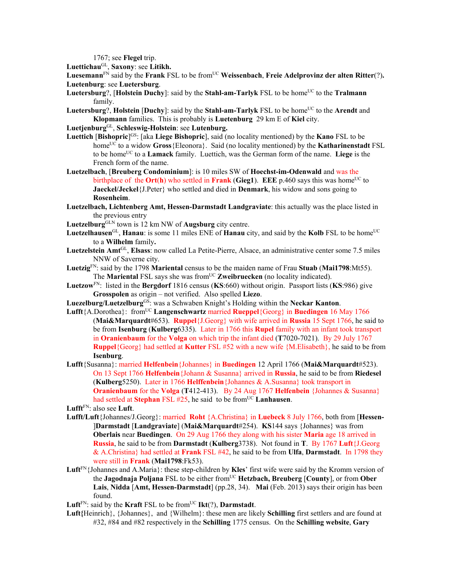1767; see **Flegel** trip.

**Luettichau**GL, **Saxony**: see **Litikh.**

Luesemann<sup>FN</sup> said by the **Frank** FSL to be from<sup>UC</sup> Weissenbach, Freie Adelprovinz der alten Ritter(?). **Luetenburg**: see **Luetersburg**.

- **Luetersburg**?, [**Holstein Duchy**]: said by the **Stahl-am-Tarlyk** FSL to be home<sup>UC</sup> to the **Tralmann** family.
- Luetersburg?, Holstein [Duchy]: said by the Stahl-am-Tarlyk FSL to be home<sup>UC</sup> to the Arendt and **Klopmann** families. This is probably is **Luetenburg** 29 km E of **Kiel** city.

**Luetjenburg**GL, **Schleswig-Holstein**: see **Lutenburg.** 

- **Luettich** [**Bishopric**] GS: [aka **Liege Bishopric**], said (no locality mentioned) by the **Kano** FSL to be homeUC to a widow **Gross**{Eleonora}. Said (no locality mentioned) by the **Katharinenstadt** FSL to be homeUC to a **Lamack** family. Luettich, was the German form of the name. **Liege** is the French form of the name.
- **Luetzelbach**, [**Breuberg Condominium**]: is 10 miles SW of **Hoechst-im-Odenwald** and was the birthplace of the **Ort**(**h**) who settled in **Frank** (**Gieg1**). **EEE** p.460 says this was home<sup>UC</sup> to **Jaeckel/Jeckel**{J.Peter} who settled and died in **Denmark**, his widow and sons going to **Rosenheim**.
- **Luetzelbach, Lichtenberg Amt, Hessen-Darmstadt Landgraviate**: this actually was the place listed in the previous entry
- **Luetzelburg**GLN town is 12 km NW of **Augsburg** city centre.
- **Luetzelhausen**<sup>GL</sup>, **Hanau**: is some 11 miles ENE of **Hanau** city, and said by the **Kolb** FSL to be home<sup>UC</sup> to a **Wilhelm** family**.**
- **Luetzelstein Amt**GL, **Elsass**: now called La Petite-Pierre, Alsace, an administrative center some 7.5 miles NNW of Saverne city.
- **Luetzig**FN: said by the 1798 **Mariental** census to be the maiden name of Frau **Stuab** (**Mai1798**:Mt55). The **Mariental** FSL says she was from<sup>UC</sup> **Zweibruecken** (no locality indicated).
- **Luetzow**FN: listed in the **Bergdorf** 1816 census (**KS**:660) without origin. Passport lists (**KS**:986) give **Grosspolen** as origin – not verified. Also spelled **Liezo**.
- **Luezelburg/Luetzelburg**GS: was a Schwaben Knight's Holding within the **Neckar Kanton**.
- **Lufft**{A.Dorothea}: fromUC **Langenschwartz** married **Rueppel**{Georg} in **Buedingen** 16 May 1766 (**Mai&Marquardt**#653). **Ruppel**{J.Georg} with wife arrived in **Russia** 15 Sept 1766, he said to be from **Isenburg** (**Kulberg**6335). Later in 1766 this **Rupel** family with an infant took transport in **Oranienbaum** for the **Volga** on which trip the infant died (**T**7020-7021). By 29 July 1767 **Ruppel**{Georg} had settled at **Kutter** FSL #52 with a new wife {M.Elisabeth}, he said to be from **Isenburg**.
- **Lufft**{Susanna}: married **Helfenbein**{Johannes} in **Buedingen** 12 April 1766 (**Mai&Marquardt**#523). On 13 Sept 1766 **Helfenbein**{Johann & Susanna} arrived in **Russia**, he said to be from **Riedesel**  (**Kulberg**5250).Later in 1766 **Helffenbein**{Johannes & A.Susanna} took transport in **Oranienbaum** for the **Volga** (**T**412-413). By 24 Aug 1767 **Helfenbein** {Johannes & Susanna} had settled at **Stephan** FSL #25, he said to be from<sup>UC</sup> Lanhausen.

**Lufft**FN: also see **Luft**.

- **Lufft/Luft**{Johannes/J.Georg}: married **Roht** {A.Christina} in **Luebeck** 8 July 1766, both from [**Hessen-** ]**Darmstadt** [**Landgraviate**] (**Mai&Marquardt**#254). **KS**144 says {Johannes} was from **Oberlais** near **Buedingen**. On 29 Aug 1766 they along with his sister **Maria** age 18 arrived in **Russia**, he said to be from **Darmstadt** (**Kulberg**3738). Not found in **T**. By 1767 **Luft**{J.Georg & A.Christina} had settled at **Frank** FSL #42, he said to be from **Ulfa**, **Darmstadt**. In 1798 they were still in **Frank** (**Mai1798**:Fk53).
- **Luft**FN{Johannes and A.Maria}: these step-children by **Kles**' first wife were said by the Kromm version of the **Jagodnaja Poljana** FSL to be either fromUC **Hetzbach, Breuberg** [**County**], or from **Ober Lais**, **Nidda** [**Amt, Hessen-Darmstadt**] (pp.28, 34). **Mai** (Feb. 2013) says their origin has been found.

**Luft**<sup>FN</sup>: said by the **Kraft** FSL to be from<sup>UC</sup> **Ikt**(?), **Darmstadt**.

**Luft{**Heinrich}, {Johannes}, and {Wilhelm}: these men are likely **Schilling** first settlers and are found at #32, #84 and #82 respectively in the **Schilling** 1775 census. On the **Schilling website**, **Gary**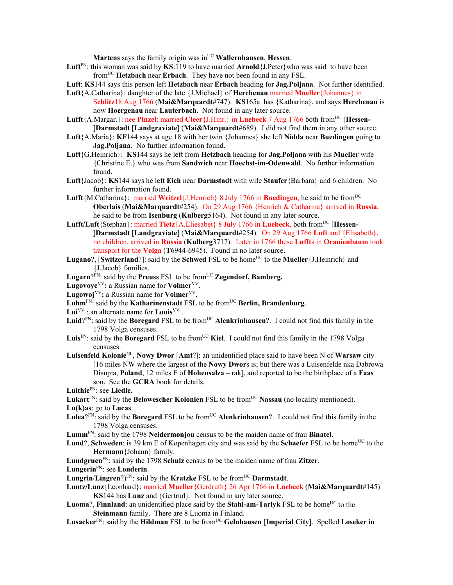**Martens** says the family origin was in<sup>UC</sup> **Wallernhausen**, **Hessen**.

- **Luft**FN: this woman was said by **KS**:119 to have married **Arnold**{J.Peter}who was said to have been fromUC **Hetzbach** near **Erbach**. They have not been found in any FSL.
- **Luft**: **KS**144 says this person left **Hetzbach** near **Erbach** heading for **Jag.Poljana**. Not further identified.
- **Luft**{A.Catharina}: daughter of the late {J.Michael} of **Herchenau** married **Mueller**{Johannes} in S**chlitz**18 Aug 1766 (**Mai&Marquardt**#747). **KS**165a has {Katharina}, and says **Herchenau** is now **Hoergenau** near **Lauterbach**. Not found in any later source.
- **Lufft**{A.Margar.}: nee **Pinzel**: married **Cleer**{J.Hinr.} in **Luebeck** 7 Aug 1766 both fromUC [**Hessen-** ]**Darmstadt** [**Landgraviate**] (**Mai&Marquardt**#689). I did not find them in any other source.
- **Luft**{A.Maria}: **KF**144 says at age 18 with her twin {Johannes} she left **Nidda** near **Buedingen** going to **Jag.Poljana**. No further information found.
- **Luft**{G.Heinrich}: **KS**144 says he left from **Hetzbach** heading for **Jag.Poljana** with his **Mueller** wife {Christine E.} who was from **Sandwich** near **Hoechst-im-Odenwald**. No further information found.
- **Luft**{Jacob}: **KS**144 says he left **Eich** near **Darmstadt** with wife **Staufer**{Barbara} and 6 children. No further information found.
- Lufft<sup>{M.</sup>Catharina}: married **Weitzel**{J.Henrich} 8 July 1766 in **Buedingen**, he said to be from<sup>UC</sup> **Oberlais** (**Mai&Marquardt**#254). On 29 Aug 1766 {Henrich & Catharina} arrived in **Russia**, he said to be from **Isenburg** (**Kulberg**5164). Not found in any later source.
- **Lufft/Luft**{Stephan}: married **Tietz**{A.Eliesabet} 8 July 1766 in **Luebeck**, both fromUC [**Hessen-** ]**Darmstadt** [**Landgraviate**] (**Mai&Marquardt**#254). On 29 Aug 1766 **Luft** and {Elisabeth}, no children, arrived in **Russia** (**Kulberg**3717). Later in 1766 these **Lufft**s in **Oranienbaum** took transport for the **Volga** (**T**6944-6945). Found in no later source.
- **Lugano**?, [**Switzerland**?]: said by the **Schwed** FSL to be home<sup>UC</sup> to the **Mueller** {J.Heinrich} and {J.Jacob} families.
- Lugarn?<sup>FN</sup>: said by the **Preuss** FSL to be from<sup>UC</sup> **Zegendorf, Bamberg.**
- **Lugovoye**VV**:** a Russian name for **Volmer**VV.
- **Lugowoj**VV**:** a Russian name for **Volmer**VV.
- Luhm<sup>FN</sup>: said by the **Katharinenstadt** FSL to be from<sup>UC</sup> Berlin, Brandenburg.
- $Lui<sup>VV</sup>$  : an alternate name for  $Louis<sup>VV</sup>$ .
- Luid?<sup>FN</sup>: said by the **Boregard** FSL to be from<sup>UC</sup> **Alenkrinhausen**?. I could not find this family in the 1798 Volga censuses.
- Luis<sup>FN</sup>: said by the **Boregard** FSL to be from<sup>UC</sup> Kiel. I could not find this family in the 1798 Volga censuses.
- **Luisenfeld Kolonie**GL, **Nowy Dwor** [**Amt**?]: an unidentified place said to have been N of **Warsaw** city [16 miles NW where the largest of the **Nowy Dwor**s is; but there was a Luisenfelde nka Dabrowa Disupia, **Poland**, 12 miles E of **Hohensalza** – rak], and reported to be the birthplace of a **Faas** son. See the **GCRA** book for details.
- **Luithie**FN: see **Liedle**.
- Lukart<sup>FN</sup>: said by the **Belowescher Kolonien** FSL to be from<sup>UC</sup> Nassau (no locality mentioned).

**Lu(k)as**: go to **Lucas**.

- Lulea<sup>?FN:</sup> said by the **Boregard** FSL to be from<sup>UC</sup> Alenkrinhausen?. I could not find this family in the 1798 Volga censuses.
- **Lumm**FN: said by the 1798 **Neidermonjou** census to be the maiden name of frau **Binatel**.
- **Lund**?, **Schweden**: is 39 km E of Kopenhagen city and was said by the **Schaefer** FSL to be home<sup>UC</sup> to the **Hermann**{Johann} family.
- **Lundgruen**FN: said by the 1798 **Schulz** census to be the maiden name of frau **Zitzer**.
- **Lungerin**FN: see **Londerin**.
- **Lungrin/Lingren**?) $F_N$ : said by the **Kratzke** FSL to be from<sup>UC</sup> **Darmstadt**.
- **Luntz/Lunz**{Leonhard}: married **Mueller**{Gerdruth} 26 Apr 1766 in **Luebeck** (**Mai&Marquardt**#145) **KS**144 has **Lunz** and {Gertrud}. Not found in any later source.
- **Luoma**?, **Finnland**: an unidentified place said by the **Stahl-am-Tarlyk** FSL to be home<sup>UC</sup> to the **Steinmann** family. There are 8 Luoma in Finland.
- **Lusacker**FN: said by the **Hildman** FSL to be fromUC **Gelnhausen** [**Imperial City**]. Spelled **Loseker** in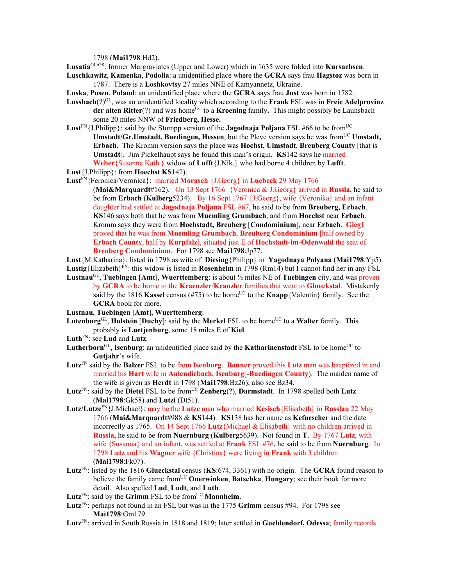1798 (**Mai1798**:Hd2).

**Lusatia**GL/GS: former Margraviates (Upper and Lower) which in 1635 were folded into **Kursachsen**.

**Luschkawitz**, **Kamenka**, **Podolia**: a unidentified place where the **GCRA** says frau **Hagstoz** was born in 1787. There is a **Loshkovtsy** 27 miles NNE of Kamyannetz, Ukraine.

- **Luska**, **Posen**, **Poland**: an unidentified place where the **GCRA** says frau **Just** was born in 1782.
- **Lussbach**(?)GL, was an unidentified locality which according to the **Frank** FSL was in **Freie Adelprovinz der alten Ritter**(?) and was home<sup>UC</sup> to a **Kroening** family. This might possibly be Launsbach some 20 miles NNW of **Friedberg, Hesse.**
- Lust<sup>FN</sup>{J.Philipp}: said by the Stumpp version of the **Jagodnaja Poljana** FSL #66 to be from<sup>UC</sup> **Umstadt/Gr.Umstadt, Buedingen, Hessen**, but the Pleve version says he was from<sup>UC</sup> Umstadt, **Erbach**. The Kromm version says the place was **Hochst**, **Ulmstadt**, **Breuberg County** [that is **Umstadt**]. Jim Pickelhaupt says he found this man's origin. **KS**142 says he married **Weber**{Susanne Kath.} widow of **Lufft**{J.Nik.} who had borne 4 children by **Lufft**.
- **Lust**{J.Philipp}: from **Hoechst KS**142).

**Lust**FN{Feronica/Veronica}: married **Morasch** {J.Georg} in **Luebeck** 29 May 1766

- (**Mai&Marquardt**#162). On 13 Sept 1766 {Veronica & J.Georg} arrived in **Russia**, he said to be from **Erbach** (**Kulberg**5234). By 16 Sept 1767 {J.Georg}, wife {Veronika} and an infant daughter had settled at **Jagodnaja Poljana** FSL #67, he said to be from **Breuberg, Erbach**. **KS**146 says both that he was from **Muemling Grumbach**, and from **Hoechst** near **Erbach**. Kromm says they were from **Hochstadt, Breuberg** [**Condominium**], near **Erbach**. **Gieg1**  proved that he was from **Muemling Grumbach**, **Breuberg Condominium** [half owned by **Erbach County**, half by **Kurpfalz**], situated just E of **Hochstadt-im-Odenwald** the seat of **Breuberg Condominium**. For 1798 see **Mai1798**:Jp77.
- **Lust**{M.Katharina}: listed in 1798 as wife of **Diesing**{Philipp} in **Yagodnaya Polyana** (**Mai1798**:Yp5). Lustig<sub>{Elizabeth}</sub>FN: this widow is listed in **Rosenheim** in 1798 (Rm14) but I cannot find her in any FSL
- **Lustnau**GL, **Tuebingen** [**Amt**], **Wuerttemberg**: is about ½ miles NE of **Tuebingen** city, and was proven by **GCRA** to be home to the **Kraenzler**/**Kranzler** families that went to **Glueckstal**. Mistakenly said by the 1816 **Kassel** census (#75) to be home<sup>UC</sup> to the **Knapp**{Valentin} family. See the **GCRA** book for more.
- **Lustnau**, **Tuebingen** [**Amt**], **Wuerttemberg**:
- Lutenburg<sup>GL</sup>, Holstein [Duchy]: said by the Merkel FSL to be home<sup>UC</sup> to a Walter family. This probably is **Luetjenburg**, some 18 miles E of **Kiel**.
- **Luth**FN: see **Lud** and **Lutz**.
- Lutherborn<sup>GL</sup>, Isenburg: an unidentified place said by the **Katharinenstadt** FSL to be home<sup>UC</sup> to **Gutjahr**'s wife.
- **Lutz**FN said by the **Balzer** FSL to be from **Isenburg**. **Bonner** proved this **Lotz** man was baaptized in and married his **Hart** wife in **Aulendiebach**, **Isenburg**[-**Buedingen County**). The maiden name of the wife is given as **Herdt** in 1798 (**Mai1798**:Bz26); also see Bz34.
- **Lutz**<sup>FN</sup>: said by the **Dietel** FSL to be from<sup>UC</sup> **Zenberg** $(?)$ , **Darmstadt**. In 1798 spelled both **Lutz** (**Mai1798**:Gk58) and **Lutzi** (Dt51).
- **Lutz/Lutze**FN{J.Michael}: may be the **Lutze** man who married **Kesisch**{Elisabeth} in **Rosslau** 22 May 1766 (**Mai&Marquardt**#988 & **KS**144). **KS**138 has her name as **Kefuescher** and the date incorrectly as 1765. On 14 Sept 1766 **Lutz**{Michael & Elisabeth} with no children arrived in **Russia**, he said to be from **Nuernburg** (**Kulberg**5639). Not found in **T**. By 1767 **Lutz**, with wife {Susanna} and an infant, was settled at **Frank** FSL #76, he said to be from **Nuernburg**. In 1798 **Lutz** and his **Wagner** wife {Christina} were living in **Frank** with 3 children (**Mai1798**:Fk07).
- **Lutz**FN: listed by the 1816 **Glueckstal** census (**KS**:674, 3361) with no origin. The **GCRA** found reason to believe the family came from<sup>UC</sup> **Ouerwinken**, **Batschka**, **Hungary**; see their book for more detail.Also spelled **Lud**, **Ludt**, and **Luth**.
- Lutz<sup>FN</sup>: said by the Grimm FSL to be from<sup>UC</sup> Mannheim.
- **Lutz**FN: perhaps not found in an FSL but was in the 1775 **Grimm** census #94. For 1798 see **Mai1798**:Gm179.
- **Lutz**FN: arrived in South Russia in 1818 and 1819; later settled in **Gueldendorf, Odessa**; family records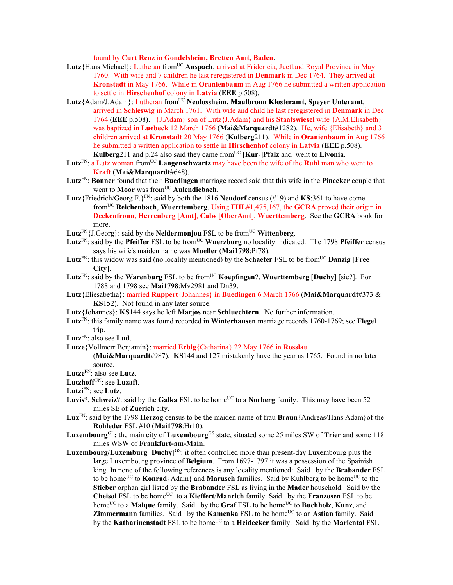found by **Curt Renz** in **Gondelsheim, Bretten Amt, Baden**.

- Lutz{Hans Michael}: Lutheran from<sup>UC</sup> Anspach, arrived at Fridericia, Juetland Royal Province in May 1760. With wife and 7 children he last reregistered in **Denmark** in Dec 1764. They arrived at **Kronstadt** in May 1766. While in **Oranienbaum** in Aug 1766 he submitted a written application to settle in **Hirschenhof** colony in **Latvia** (**EEE** p.508).
- Lutz{Adam/J.Adam}: Lutheran from<sup>UC</sup> Neulossheim, Maulbronn Klosteramt, Speyer Unteramt, arrived in **Schleswig** in March 1761. With wife and child he last reregistered in **Denmark** in Dec 1764 (**EEE** p.508). {J.Adam} son of Lutz{J.Adam} and his **Staatswiesel** wife {A.M.Elisabeth} was baptized in **Luebeck** 12 March 1766 (**Mai&Marquardt**#1282). He, wife {Elisabeth} and 3 children arrived at **Kronstadt** 20 May 1766 (**Kulberg**211). While in **Oranienbaum** in Aug 1766 he submitted a written application to settle in **Hirschenhof** colony in **Latvia** (**EEE** p.508). **Kulberg**211 and p.24 also said they came from<sup>UC</sup> [Kur-]Pfalz and went to Livonia.
- Lutz<sup>FN</sup>: a Lutz woman from<sup>UC</sup> Langenschwartz may have been the wife of the **Ruhl** man who went to **Kraft** (**Mai&Marquardt**#648).
- **Lutz**FN: **Bonner** found that their **Buedingen** marriage record said that this wife in the **Pinecker** couple that went to **Moor** was from<sup>UC</sup> Aulendiebach.
- **Lutz**{Friedrich/Georg F.}FN: said by both the 1816 **Neudorf** census (#19) and **KS**:361 to have come fromUC **Reichenbach**, **Wuerttemberg**. Using **FHL**#1,475,167, the **GCRA** proved their origin in **Deckenfronn**, **Herrenberg** [**Amt**], **Calw** [**OberAmt**], **Wuerttemberg**. See the **GCRA** book for more.
- **Lutz**<sup>FN</sup>{J.Georg}: said by the **Neidermonjou** FSL to be from<sup>UC</sup> **Wittenberg**.
- Lutz<sup>FN</sup>: said by the **Pfeiffer** FSL to be from<sup>UC</sup> Wuerzburg no locality indicated. The 1798 **Pfeiffer** census says his wife's maiden name was **Mueller** (**Mai1798**:Pf78).
- **Lutz**<sup>FN</sup>: this widow was said (no locality mentioned) by the **Schaefer** FSL to be from<sup>UC</sup> **Danzig** [Free **City**].
- Lutz<sup>FN</sup>: said by the **Warenburg** FSL to be from<sup>UC</sup> **Koepfingen**?, **Wuerttemberg** [Duchy] [sic?]. For 1788 and 1798 see **Mai1798**:Mv2981 and Dn39.
- **Lutz**{Eliesabetha}: married **Ruppert**{Johannes} in **Buedingen** 6 March 1766 (**Mai&Marquardt**#373 & **KS**152). Not found in any later source.
- **Lutz**{Johannes}: **KS**144 says he left **Marjos** near **Schluechtern**. No further information.
- **Lutz**FN: this family name was found recorded in **Winterhausen** marriage records 1760-1769; see **Flegel** trip.
- **Lutz**FN: also see **Lud**.
- **Lutze**{Vollmerr Benjamin}: married **Erbig**{Catharina} 22 May 1766 in **Rosslau** (**Mai&Marquardt**#987). **KS**144 and 127 mistakenly have the year as 1765. Found in no later

- **Lutze**FN: also see **Lutz**. **Lutzhoff** FN: see **Luzaft**.
- **Lutzi**FN: see **Lutz**.
- 
- **Luvis**?, **Schweiz**?: said by the **Galka** FSL to be home<sup>UC</sup> to a **Norberg** family. This may have been 52 miles SE of **Zuerich** city.
- **Lux**FN: said by the 1798 **Herzog** census to be the maiden name of frau **Braun**{Andreas/Hans Adam}of the **Rohleder** FSL #10 (**Mai1798**:Hr10).
- **Luxembourg**GL<sub>:</sub> the main city of **Luxembourg**G<sub>S</sub> state, situated some 25 miles SW of Trier and some 118 miles WSW of **Frankfurt-am-Main**.
- **Luxembourg/Luxemburg** [**Duchy**] GS: it often controlled more than present-day Luxembourg plus the large Luxembourg province of **Belgium**. From 1697-1797 it was a possession of the Spainish king. In none of the following references is any locality mentioned: Said by the **Brabander** FSL to be home<sup>UC</sup> to **Konrad**{Adam} and **Marusch** families. Said by Kuhlberg to be home<sup>UC</sup> to the **Stieber** orphan girl listed by the **Brabander** FSL as living in the **Mader** household. Said by the **Cheisol** FSL to be homeUC to a **Kieffert**/**Manrich** family. Said by the **Franzosen** FSL to be home<sup>UC</sup> to a **Malque** family. Said by the **Graf** FSL to be home<sup>UC</sup> to **Buchholz**, **Kunz**, and **Zimmermann** families. Said by the **Kamenka** FSL to be home<sup>UC</sup> to an **Astian** family. Said by the **Katharinenstadt** FSL to be home<sup>UC</sup> to a **Heidecker** family. Said by the **Mariental** FSL

source.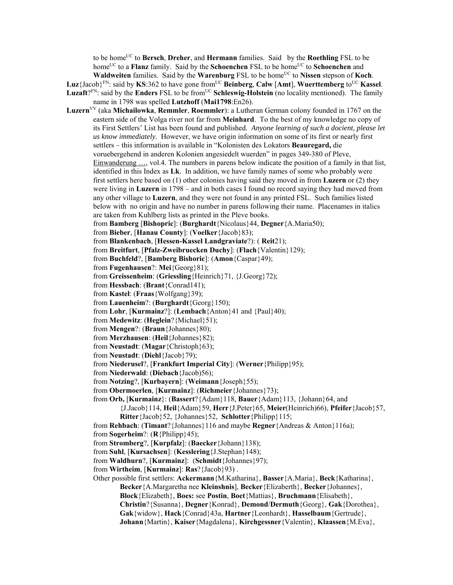to be homeUC to **Bersch**, **Dreher**, and **Hermann** families. Said by the **Roethling** FSL to be home<sup>UC</sup> to a **Flanz** family. Said by the **Schoenchen** FSL to be home<sup>UC</sup> to **Schoenchen** and **Waldweiten** families. Said by the **Warenburg** FSL to be home<sup>UC</sup> to Nissen stepson of **Koch**.

**Luz**{Jacob}<sup>FN</sup>: said by **KS**:362 to have gone from<sup>UC</sup> **Beinberg**, **Calw** [Amt], **Wuerttemberg** to<sup>UC</sup> **Kassel**. **Luzaft**?FN: said by the **Enders** FSL to be from<sup>UC</sup> **Schleswig-Holstein** (no locality mentioned). The family

name in 1798 was spelled **Lutzhoff** (**Mai1798**:En26).

**Luzern**VV (aka **Michailowka**, **Remmler**, **Roemmler**): a Lutheran German colony founded in 1767 on the eastern side of the Volga river not far from **Meinhard**. To the best of my knowledge no copy of its First Settlers' List has been found and published. *Anyone learning of such a docient, please let us know immediately*. However, we have origin information on some of its first or nearly first settlers – this information is available in "Kolonisten des Lokators **Beauregard,** die voruebergehend in anderen Kolonien angesiedelt wuerden" in pages 349-380 of Pleve, Einwanderung …, vol.4. The numbers in parens below indicate the position of a family in that list, identified in this Index as **Lk**. In addition, we have family names of some who probably were first settlers here based on (1) other colonies having said they moved in from **Luzern** or (2) they were living in **Luzern** in 1798 – and in both cases I found no record saying they had moved from any other village to **Luzern**, and they were not found in any printed FSL. Such families listed below with no origin and have no number in parens following their name. Placenames in italics are taken from Kuhlberg lists as printed in the Pleve books.

from **Bamberg** [**Bishopric**]: (**Burghardt**{Nicolaus}44, **Degner**{A.Maria50);

from **Bieber**, [**Hanau County**]: (**Voelker**{Jacob}83);

from **Blankenbach**, [**Hessen-Kassel Landgraviate**?): ( **Reit**21);

from **Breitfurt**, [**Pfalz-Zweibruecken Duchy**]: (**Flach**{Valentin}129);

from **Buchfeld**?, [**Bamberg Bishoric**]: (**Amon**{Caspar}49);

from **Fugenhausen**?: **Mei**{Georg}81);

from **Greissenheim**: (**Griessling**{Heinrich}71, {J.Georg}72);

from **Hessbach**: (**Brant**{Conrad141);

from **Kastel**: (**Fraas**{Wolfgang}39);

from **Lauenheim**?: (**Burghardt**{Georg}150);

from **Lohr**, [**Kurmainz**?]: (**Lembach**{Anton}41 and {Paul}40);

from **Medewitz**: (**Heglein**?{Michael}51);

from **Mengen**?: (**Braun**{Johannes}80);

from **Merzhausen**: (**Heil**{Johannes}82);

from **Neustadt**: (**Magar**{Christoph}63);

from **Neustadt**: (**Diehl**{Jacob}79);

from **Niederusel**?, [**Frankfurt Imperial City**]: (**Werner**{Philipp}95);

from **Niederwald**: (**Diebach**{Jacob)56);

from **Notzing**?, [**Kurbayern**]: (**Weimann**{Joseph}55);

from **Obermoerlen**, [**Kurmainz**]: (**Richmeier**{Johannes}73);

from **Orb,** [**Kurmainz**}: (**Bassert**?{Adam}118, **Bauer**{Adam}113, {Johann}64, and

{J.Jacob}114, **Heil**{Adam}59, **Herr**{J.Peter}65, **Meier**(Heinrich)66), **Pfeifer**{Jacob}57, **Ritter**{Jacob}52, {Johannes}52, **Schlotter**{Philipp}115;

from **Rehbach**: (**Timant**?{Johannes}116 and maybe **Regner**{Andreas & Anton}116a);

from **Sogerheim**?: (**R**{Philipp}45);

from **Stromberg**?, [**Kurpfalz**]: (**Baecker**{Johann}138);

from **Suhl**, [**Kursachsen**]: (**Kesslering**{J.Stephan}148);

from **Waldhurn**?, [**Kurmainz**]: (**Schmidt**{Johannes}97);

from **Wirtheim**, [**Kurmainz**]: **Ras**?{Jacob}93) .

Other possible first settlers: **Ackermann**{M.Katharina}, **Basser**{A.Maria}, **Beck**{Katharina}, **Becker**{A.Margaretha nee **Kleinshnis**], **Becker**{Elizaberth}, **Becker**{Johannes}, **Block**{Elizabeth}, **Boes:** see **Postin**, **Boet**{Mattias}, **Bruchmann**{Elisabeth}, **Christin**?{Susanna}, **Degner**{Konrad}, **Demond**/**Dermuth**{Georg}, **Gak**{Dorothea}, **Gak**{widow}, **Hack**{Conrad}43a, **Hartner**{Leonhardt}, **Hasselbaum**{Gertrude}, **Johann**{Martin}, **Kaiser**{Magdalena}, **Kirchgessner**{Valentin}, **Klaassen**{M.Eva},